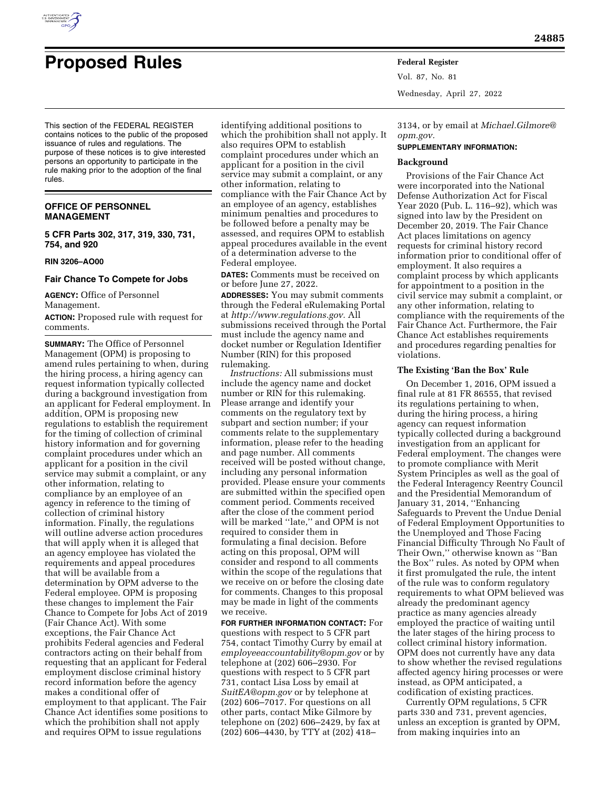

# **Proposed Rules Federal Register**

**24885** 

This section of the FEDERAL REGISTER contains notices to the public of the proposed issuance of rules and regulations. The purpose of these notices is to give interested persons an opportunity to participate in the rule making prior to the adoption of the final rules.

# **OFFICE OF PERSONNEL MANAGEMENT**

**5 CFR Parts 302, 317, 319, 330, 731, 754, and 920** 

## **RIN 3206–AO00**

# **Fair Chance To Compete for Jobs**

**AGENCY:** Office of Personnel Management.

**ACTION:** Proposed rule with request for comments.

**SUMMARY:** The Office of Personnel Management (OPM) is proposing to amend rules pertaining to when, during the hiring process, a hiring agency can request information typically collected during a background investigation from an applicant for Federal employment. In addition, OPM is proposing new regulations to establish the requirement for the timing of collection of criminal history information and for governing complaint procedures under which an applicant for a position in the civil service may submit a complaint, or any other information, relating to compliance by an employee of an agency in reference to the timing of collection of criminal history information. Finally, the regulations will outline adverse action procedures that will apply when it is alleged that an agency employee has violated the requirements and appeal procedures that will be available from a determination by OPM adverse to the Federal employee. OPM is proposing these changes to implement the Fair Chance to Compete for Jobs Act of 2019 (Fair Chance Act). With some exceptions, the Fair Chance Act prohibits Federal agencies and Federal contractors acting on their behalf from requesting that an applicant for Federal employment disclose criminal history record information before the agency makes a conditional offer of employment to that applicant. The Fair Chance Act identifies some positions to which the prohibition shall not apply and requires OPM to issue regulations

identifying additional positions to which the prohibition shall not apply. It also requires OPM to establish complaint procedures under which an applicant for a position in the civil service may submit a complaint, or any other information, relating to compliance with the Fair Chance Act by an employee of an agency, establishes minimum penalties and procedures to be followed before a penalty may be assessed, and requires OPM to establish appeal procedures available in the event of a determination adverse to the Federal employee.

**DATES:** Comments must be received on or before June 27, 2022.

**ADDRESSES:** You may submit comments through the Federal eRulemaking Portal at *[http://www.regulations.gov.](http://www.regulations.gov)* All submissions received through the Portal must include the agency name and docket number or Regulation Identifier Number (RIN) for this proposed rulemaking.

*Instructions:* All submissions must include the agency name and docket number or RIN for this rulemaking. Please arrange and identify your comments on the regulatory text by subpart and section number; if your comments relate to the supplementary information, please refer to the heading and page number. All comments received will be posted without change, including any personal information provided. Please ensure your comments are submitted within the specified open comment period. Comments received after the close of the comment period will be marked ''late,'' and OPM is not required to consider them in formulating a final decision. Before acting on this proposal, OPM will consider and respond to all comments within the scope of the regulations that we receive on or before the closing date for comments. Changes to this proposal may be made in light of the comments we receive.

**FOR FURTHER INFORMATION CONTACT:** For questions with respect to 5 CFR part 754, contact Timothy Curry by email at *[employeeaccountability@opm.gov](mailto:employeeaccountability@opm.gov)* or by telephone at (202) 606–2930. For questions with respect to 5 CFR part 731, contact Lisa Loss by email at *[SuitEA@opm.gov](mailto:SuitEA@opm.gov)* or by telephone at (202) 606–7017. For questions on all other parts, contact Mike Gilmore by telephone on (202) 606–2429, by fax at (202) 606–4430, by TTY at (202) 418–

Vol. 87, No. 81 Wednesday, April 27, 2022

3134, or by email at *[Michael.Gilmore@](mailto:Michael.Gilmore@opm.gov) [opm.gov.](mailto:Michael.Gilmore@opm.gov)* 

## **SUPPLEMENTARY INFORMATION:**

# **Background**

Provisions of the Fair Chance Act were incorporated into the National Defense Authorization Act for Fiscal Year 2020 (Pub. L. 116–92), which was signed into law by the President on December 20, 2019. The Fair Chance Act places limitations on agency requests for criminal history record information prior to conditional offer of employment. It also requires a complaint process by which applicants for appointment to a position in the civil service may submit a complaint, or any other information, relating to compliance with the requirements of the Fair Chance Act. Furthermore, the Fair Chance Act establishes requirements and procedures regarding penalties for violations.

## **The Existing 'Ban the Box' Rule**

On December 1, 2016, OPM issued a final rule at 81 FR 86555, that revised its regulations pertaining to when, during the hiring process, a hiring agency can request information typically collected during a background investigation from an applicant for Federal employment. The changes were to promote compliance with Merit System Principles as well as the goal of the Federal Interagency Reentry Council and the Presidential Memorandum of January 31, 2014, ''Enhancing Safeguards to Prevent the Undue Denial of Federal Employment Opportunities to the Unemployed and Those Facing Financial Difficulty Through No Fault of Their Own,'' otherwise known as ''Ban the Box'' rules. As noted by OPM when it first promulgated the rule, the intent of the rule was to conform regulatory requirements to what OPM believed was already the predominant agency practice as many agencies already employed the practice of waiting until the later stages of the hiring process to collect criminal history information. OPM does not currently have any data to show whether the revised regulations affected agency hiring processes or were instead, as OPM anticipated, a codification of existing practices.

Currently OPM regulations, 5 CFR parts 330 and 731, prevent agencies, unless an exception is granted by OPM, from making inquiries into an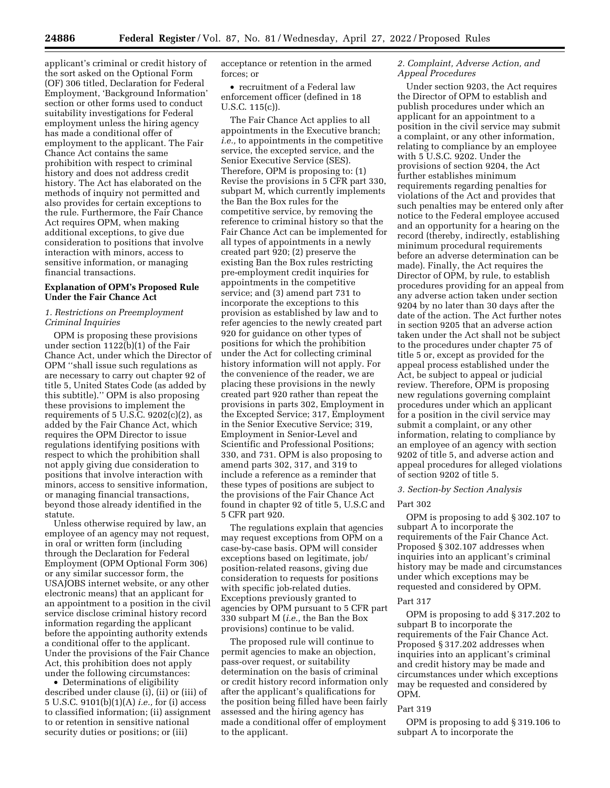applicant's criminal or credit history of the sort asked on the Optional Form (OF) 306 titled, Declaration for Federal Employment, 'Background Information' section or other forms used to conduct suitability investigations for Federal employment unless the hiring agency has made a conditional offer of employment to the applicant. The Fair Chance Act contains the same prohibition with respect to criminal history and does not address credit history. The Act has elaborated on the methods of inquiry not permitted and also provides for certain exceptions to the rule. Furthermore, the Fair Chance Act requires OPM, when making additional exceptions, to give due consideration to positions that involve interaction with minors, access to sensitive information, or managing financial transactions.

## **Explanation of OPM's Proposed Rule Under the Fair Chance Act**

## *1. Restrictions on Preemployment Criminal Inquiries*

OPM is proposing these provisions under section 1122(b)(1) of the Fair Chance Act, under which the Director of OPM ''shall issue such regulations as are necessary to carry out chapter 92 of title 5, United States Code (as added by this subtitle).'' OPM is also proposing these provisions to implement the requirements of  $5$  U.S.C.  $9202(c)(2)$ , as added by the Fair Chance Act, which requires the OPM Director to issue regulations identifying positions with respect to which the prohibition shall not apply giving due consideration to positions that involve interaction with minors, access to sensitive information, or managing financial transactions, beyond those already identified in the statute.

Unless otherwise required by law, an employee of an agency may not request, in oral or written form (including through the Declaration for Federal Employment (OPM Optional Form 306) or any similar successor form, the USAJOBS internet website, or any other electronic means) that an applicant for an appointment to a position in the civil service disclose criminal history record information regarding the applicant before the appointing authority extends a conditional offer to the applicant. Under the provisions of the Fair Chance Act, this prohibition does not apply under the following circumstances:

• Determinations of eligibility described under clause (i), (ii) or (iii) of 5 U.S.C. 9101(b)(1)(A) *i.e.,* for (i) access to classified information; (ii) assignment to or retention in sensitive national security duties or positions; or (iii)

acceptance or retention in the armed forces; or

• recruitment of a Federal law enforcement officer (defined in 18 U.S.C. 115(c)).

The Fair Chance Act applies to all appointments in the Executive branch; *i.e.,* to appointments in the competitive service, the excepted service, and the Senior Executive Service (SES). Therefore, OPM is proposing to: (1) Revise the provisions in 5 CFR part 330, subpart M, which currently implements the Ban the Box rules for the competitive service, by removing the reference to criminal history so that the Fair Chance Act can be implemented for all types of appointments in a newly created part 920; (2) preserve the existing Ban the Box rules restricting pre-employment credit inquiries for appointments in the competitive service; and (3) amend part 731 to incorporate the exceptions to this provision as established by law and to refer agencies to the newly created part 920 for guidance on other types of positions for which the prohibition under the Act for collecting criminal history information will not apply. For the convenience of the reader, we are placing these provisions in the newly created part 920 rather than repeat the provisions in parts 302, Employment in the Excepted Service; 317, Employment in the Senior Executive Service; 319, Employment in Senior-Level and Scientific and Professional Positions; 330, and 731. OPM is also proposing to amend parts 302, 317, and 319 to include a reference as a reminder that these types of positions are subject to the provisions of the Fair Chance Act found in chapter 92 of title 5, U.S.C and 5 CFR part 920.

The regulations explain that agencies may request exceptions from OPM on a case-by-case basis. OPM will consider exceptions based on legitimate, job/ position-related reasons, giving due consideration to requests for positions with specific job-related duties. Exceptions previously granted to agencies by OPM pursuant to 5 CFR part 330 subpart M (*i.e.,* the Ban the Box provisions) continue to be valid.

The proposed rule will continue to permit agencies to make an objection, pass-over request, or suitability determination on the basis of criminal or credit history record information only after the applicant's qualifications for the position being filled have been fairly assessed and the hiring agency has made a conditional offer of employment to the applicant.

## *2. Complaint, Adverse Action, and Appeal Procedures*

Under section 9203, the Act requires the Director of OPM to establish and publish procedures under which an applicant for an appointment to a position in the civil service may submit a complaint, or any other information, relating to compliance by an employee with 5 U.S.C. 9202. Under the provisions of section 9204, the Act further establishes minimum requirements regarding penalties for violations of the Act and provides that such penalties may be entered only after notice to the Federal employee accused and an opportunity for a hearing on the record (thereby, indirectly, establishing minimum procedural requirements before an adverse determination can be made). Finally, the Act requires the Director of OPM, by rule, to establish procedures providing for an appeal from any adverse action taken under section 9204 by no later than 30 days after the date of the action. The Act further notes in section 9205 that an adverse action taken under the Act shall not be subject to the procedures under chapter 75 of title 5 or, except as provided for the appeal process established under the Act, be subject to appeal or judicial review. Therefore, OPM is proposing new regulations governing complaint procedures under which an applicant for a position in the civil service may submit a complaint, or any other information, relating to compliance by an employee of an agency with section 9202 of title 5, and adverse action and appeal procedures for alleged violations of section 9202 of title 5.

#### *3. Section-by Section Analysis*

## Part 302

OPM is proposing to add § 302.107 to subpart A to incorporate the requirements of the Fair Chance Act. Proposed § 302.107 addresses when inquiries into an applicant's criminal history may be made and circumstances under which exceptions may be requested and considered by OPM.

## Part 317

OPM is proposing to add § 317.202 to subpart B to incorporate the requirements of the Fair Chance Act. Proposed § 317.202 addresses when inquiries into an applicant's criminal and credit history may be made and circumstances under which exceptions may be requested and considered by OPM.

## Part 319

OPM is proposing to add § 319.106 to subpart A to incorporate the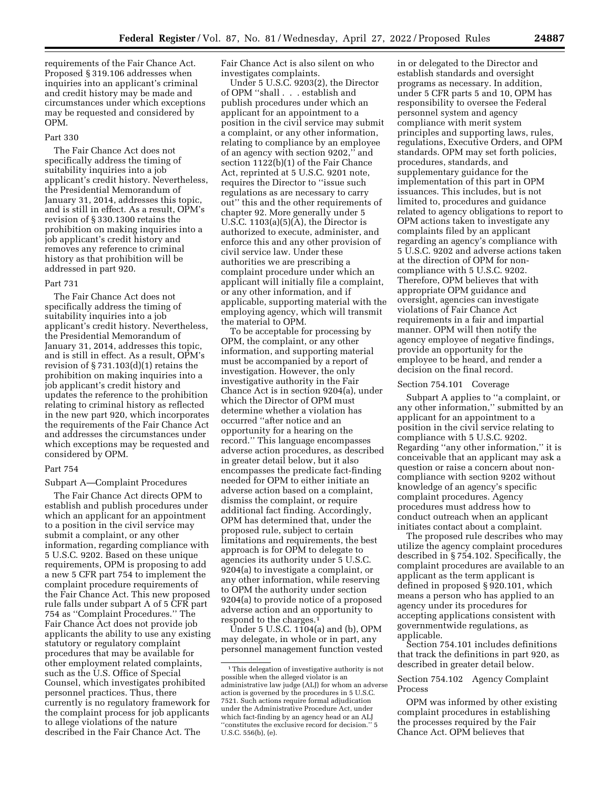requirements of the Fair Chance Act. Proposed § 319.106 addresses when inquiries into an applicant's criminal and credit history may be made and circumstances under which exceptions may be requested and considered by OPM.

## Part 330

The Fair Chance Act does not specifically address the timing of suitability inquiries into a job applicant's credit history. Nevertheless, the Presidential Memorandum of January 31, 2014, addresses this topic, and is still in effect. As a result, OPM's revision of § 330.1300 retains the prohibition on making inquiries into a job applicant's credit history and removes any reference to criminal history as that prohibition will be addressed in part 920.

#### Part 731

The Fair Chance Act does not specifically address the timing of suitability inquiries into a job applicant's credit history. Nevertheless, the Presidential Memorandum of January 31, 2014, addresses this topic, and is still in effect. As a result, OPM's revision of § 731.103(d)(1) retains the prohibition on making inquiries into a job applicant's credit history and updates the reference to the prohibition relating to criminal history as reflected in the new part 920, which incorporates the requirements of the Fair Chance Act and addresses the circumstances under which exceptions may be requested and considered by OPM.

## Part 754

## Subpart A—Complaint Procedures

The Fair Chance Act directs OPM to establish and publish procedures under which an applicant for an appointment to a position in the civil service may submit a complaint, or any other information, regarding compliance with 5 U.S.C. 9202. Based on these unique requirements, OPM is proposing to add a new 5 CFR part 754 to implement the complaint procedure requirements of the Fair Chance Act. This new proposed rule falls under subpart A of 5 CFR part 754 as ''Complaint Procedures.'' The Fair Chance Act does not provide job applicants the ability to use any existing statutory or regulatory complaint procedures that may be available for other employment related complaints, such as the U.S. Office of Special Counsel, which investigates prohibited personnel practices. Thus, there currently is no regulatory framework for the complaint process for job applicants to allege violations of the nature described in the Fair Chance Act. The

Fair Chance Act is also silent on who investigates complaints.

Under 5 U.S.C. 9203(2), the Director of OPM ''shall . . . establish and publish procedures under which an applicant for an appointment to a position in the civil service may submit a complaint, or any other information, relating to compliance by an employee of an agency with section 9202,'' and section 1122(b)(1) of the Fair Chance Act, reprinted at 5 U.S.C. 9201 note, requires the Director to ''issue such regulations as are necessary to carry out'' this and the other requirements of chapter 92. More generally under 5 U.S.C.  $1103(a)(5)(A)$ , the Director is authorized to execute, administer, and enforce this and any other provision of civil service law. Under these authorities we are prescribing a complaint procedure under which an applicant will initially file a complaint, or any other information, and if applicable, supporting material with the employing agency, which will transmit the material to OPM.

To be acceptable for processing by OPM, the complaint, or any other information, and supporting material must be accompanied by a report of investigation. However, the only investigative authority in the Fair Chance Act is in section 9204(a), under which the Director of OPM must determine whether a violation has occurred ''after notice and an opportunity for a hearing on the record.'' This language encompasses adverse action procedures, as described in greater detail below, but it also encompasses the predicate fact-finding needed for OPM to either initiate an adverse action based on a complaint, dismiss the complaint, or require additional fact finding. Accordingly, OPM has determined that, under the proposed rule, subject to certain limitations and requirements, the best approach is for OPM to delegate to agencies its authority under 5 U.S.C. 9204(a) to investigate a complaint, or any other information, while reserving to OPM the authority under section 9204(a) to provide notice of a proposed adverse action and an opportunity to respond to the charges.1

Under 5 U.S.C. 1104(a) and (b), OPM may delegate, in whole or in part, any personnel management function vested in or delegated to the Director and establish standards and oversight programs as necessary. In addition, under 5 CFR parts 5 and 10, OPM has responsibility to oversee the Federal personnel system and agency compliance with merit system principles and supporting laws, rules, regulations, Executive Orders, and OPM standards. OPM may set forth policies, procedures, standards, and supplementary guidance for the implementation of this part in OPM issuances. This includes, but is not limited to, procedures and guidance related to agency obligations to report to OPM actions taken to investigate any complaints filed by an applicant regarding an agency's compliance with 5 U.S.C. 9202 and adverse actions taken at the direction of OPM for noncompliance with 5 U.S.C. 9202. Therefore, OPM believes that with appropriate OPM guidance and oversight, agencies can investigate violations of Fair Chance Act requirements in a fair and impartial manner. OPM will then notify the agency employee of negative findings, provide an opportunity for the employee to be heard, and render a decision on the final record.

#### Section 754.101 Coverage

Subpart A applies to ''a complaint, or any other information,'' submitted by an applicant for an appointment to a position in the civil service relating to compliance with 5 U.S.C. 9202. Regarding ''any other information,'' it is conceivable that an applicant may ask a question or raise a concern about noncompliance with section 9202 without knowledge of an agency's specific complaint procedures. Agency procedures must address how to conduct outreach when an applicant initiates contact about a complaint.

The proposed rule describes who may utilize the agency complaint procedures described in § 754.102. Specifically, the complaint procedures are available to an applicant as the term applicant is defined in proposed § 920.101, which means a person who has applied to an agency under its procedures for accepting applications consistent with governmentwide regulations, as applicable.

Section 754.101 includes definitions that track the definitions in part 920, as described in greater detail below.

# Section 754.102 Agency Complaint Process

OPM was informed by other existing complaint procedures in establishing the processes required by the Fair Chance Act. OPM believes that

<sup>&</sup>lt;sup>1</sup>This delegation of investigative authority is not possible when the alleged violator is an administrative law judge (ALJ) for whom an adverse action is governed by the procedures in 5 U.S.C. 7521. Such actions require formal adjudication under the Administrative Procedure Act, under which fact-finding by an agency head or an ALJ 'constitutes the exclusive record for decision." 5 U.S.C. 556(b), (e).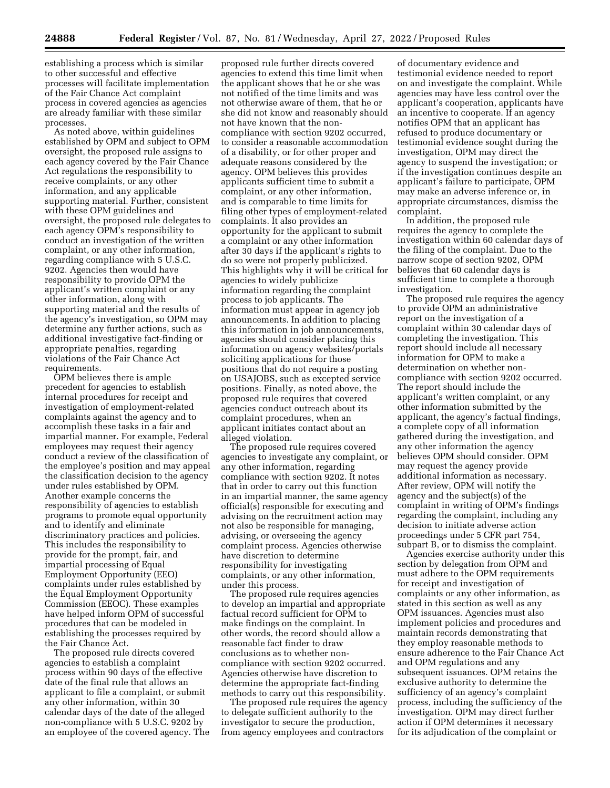establishing a process which is similar to other successful and effective processes will facilitate implementation of the Fair Chance Act complaint process in covered agencies as agencies are already familiar with these similar processes.

As noted above, within guidelines established by OPM and subject to OPM oversight, the proposed rule assigns to each agency covered by the Fair Chance Act regulations the responsibility to receive complaints, or any other information, and any applicable supporting material. Further, consistent with these OPM guidelines and oversight, the proposed rule delegates to each agency OPM's responsibility to conduct an investigation of the written complaint, or any other information, regarding compliance with 5 U.S.C. 9202. Agencies then would have responsibility to provide OPM the applicant's written complaint or any other information, along with supporting material and the results of the agency's investigation, so OPM may determine any further actions, such as additional investigative fact-finding or appropriate penalties, regarding violations of the Fair Chance Act requirements.

OPM believes there is ample precedent for agencies to establish internal procedures for receipt and investigation of employment-related complaints against the agency and to accomplish these tasks in a fair and impartial manner. For example, Federal employees may request their agency conduct a review of the classification of the employee's position and may appeal the classification decision to the agency under rules established by OPM. Another example concerns the responsibility of agencies to establish programs to promote equal opportunity and to identify and eliminate discriminatory practices and policies. This includes the responsibility to provide for the prompt, fair, and impartial processing of Equal Employment Opportunity (EEO) complaints under rules established by the Equal Employment Opportunity Commission (EEOC). These examples have helped inform OPM of successful procedures that can be modeled in establishing the processes required by the Fair Chance Act.

The proposed rule directs covered agencies to establish a complaint process within 90 days of the effective date of the final rule that allows an applicant to file a complaint, or submit any other information, within 30 calendar days of the date of the alleged non-compliance with 5 U.S.C. 9202 by an employee of the covered agency. The

proposed rule further directs covered agencies to extend this time limit when the applicant shows that he or she was not notified of the time limits and was not otherwise aware of them, that he or she did not know and reasonably should not have known that the noncompliance with section 9202 occurred, to consider a reasonable accommodation of a disability, or for other proper and adequate reasons considered by the agency. OPM believes this provides applicants sufficient time to submit a complaint, or any other information, and is comparable to time limits for filing other types of employment-related complaints. It also provides an opportunity for the applicant to submit a complaint or any other information after 30 days if the applicant's rights to do so were not properly publicized. This highlights why it will be critical for agencies to widely publicize information regarding the complaint process to job applicants. The information must appear in agency job announcements. In addition to placing this information in job announcements, agencies should consider placing this information on agency websites/portals soliciting applications for those positions that do not require a posting on USAJOBS, such as excepted service positions. Finally, as noted above, the proposed rule requires that covered agencies conduct outreach about its complaint procedures, when an applicant initiates contact about an alleged violation.

The proposed rule requires covered agencies to investigate any complaint, or any other information, regarding compliance with section 9202. It notes that in order to carry out this function in an impartial manner, the same agency official(s) responsible for executing and advising on the recruitment action may not also be responsible for managing, advising, or overseeing the agency complaint process. Agencies otherwise have discretion to determine responsibility for investigating complaints, or any other information, under this process.

The proposed rule requires agencies to develop an impartial and appropriate factual record sufficient for OPM to make findings on the complaint. In other words, the record should allow a reasonable fact finder to draw conclusions as to whether noncompliance with section 9202 occurred. Agencies otherwise have discretion to determine the appropriate fact-finding methods to carry out this responsibility.

The proposed rule requires the agency to delegate sufficient authority to the investigator to secure the production, from agency employees and contractors

of documentary evidence and testimonial evidence needed to report on and investigate the complaint. While agencies may have less control over the applicant's cooperation, applicants have an incentive to cooperate. If an agency notifies OPM that an applicant has refused to produce documentary or testimonial evidence sought during the investigation, OPM may direct the agency to suspend the investigation; or if the investigation continues despite an applicant's failure to participate, OPM may make an adverse inference or, in appropriate circumstances, dismiss the complaint.

In addition, the proposed rule requires the agency to complete the investigation within 60 calendar days of the filing of the complaint. Due to the narrow scope of section 9202, OPM believes that 60 calendar days is sufficient time to complete a thorough investigation.

The proposed rule requires the agency to provide OPM an administrative report on the investigation of a complaint within 30 calendar days of completing the investigation. This report should include all necessary information for OPM to make a determination on whether noncompliance with section 9202 occurred. The report should include the applicant's written complaint, or any other information submitted by the applicant, the agency's factual findings, a complete copy of all information gathered during the investigation, and any other information the agency believes OPM should consider. OPM may request the agency provide additional information as necessary. After review, OPM will notify the agency and the subject(s) of the complaint in writing of OPM's findings regarding the complaint, including any decision to initiate adverse action proceedings under 5 CFR part 754, subpart B, or to dismiss the complaint.

Agencies exercise authority under this section by delegation from OPM and must adhere to the OPM requirements for receipt and investigation of complaints or any other information, as stated in this section as well as any OPM issuances. Agencies must also implement policies and procedures and maintain records demonstrating that they employ reasonable methods to ensure adherence to the Fair Chance Act and OPM regulations and any subsequent issuances. OPM retains the exclusive authority to determine the sufficiency of an agency's complaint process, including the sufficiency of the investigation. OPM may direct further action if OPM determines it necessary for its adjudication of the complaint or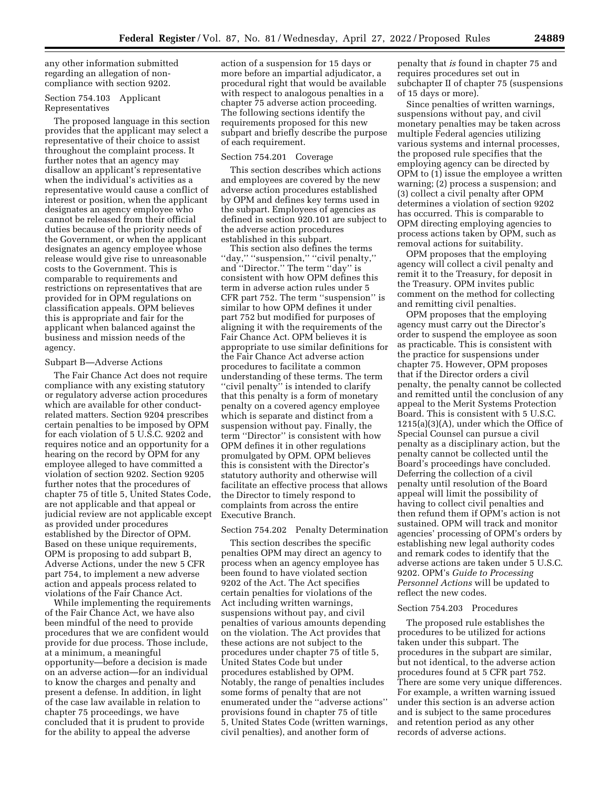any other information submitted regarding an allegation of noncompliance with section 9202.

# Section 754.103 Applicant Representatives

The proposed language in this section provides that the applicant may select a representative of their choice to assist throughout the complaint process. It further notes that an agency may disallow an applicant's representative when the individual's activities as a representative would cause a conflict of interest or position, when the applicant designates an agency employee who cannot be released from their official duties because of the priority needs of the Government, or when the applicant designates an agency employee whose release would give rise to unreasonable costs to the Government. This is comparable to requirements and restrictions on representatives that are provided for in OPM regulations on classification appeals. OPM believes this is appropriate and fair for the applicant when balanced against the business and mission needs of the agency.

## Subpart B—Adverse Actions

The Fair Chance Act does not require compliance with any existing statutory or regulatory adverse action procedures which are available for other conductrelated matters. Section 9204 prescribes certain penalties to be imposed by OPM for each violation of 5 U.S.C. 9202 and requires notice and an opportunity for a hearing on the record by OPM for any employee alleged to have committed a violation of section 9202. Section 9205 further notes that the procedures of chapter 75 of title 5, United States Code, are not applicable and that appeal or judicial review are not applicable except as provided under procedures established by the Director of OPM. Based on these unique requirements, OPM is proposing to add subpart B, Adverse Actions, under the new 5 CFR part 754, to implement a new adverse action and appeals process related to violations of the Fair Chance Act.

While implementing the requirements of the Fair Chance Act, we have also been mindful of the need to provide procedures that we are confident would provide for due process. Those include, at a minimum, a meaningful opportunity—before a decision is made on an adverse action—for an individual to know the charges and penalty and present a defense. In addition, in light of the case law available in relation to chapter 75 proceedings, we have concluded that it is prudent to provide for the ability to appeal the adverse

action of a suspension for 15 days or more before an impartial adjudicator, a procedural right that would be available with respect to analogous penalties in a chapter 75 adverse action proceeding. The following sections identify the requirements proposed for this new subpart and briefly describe the purpose of each requirement.

## Section 754.201 Coverage

This section describes which actions and employees are covered by the new adverse action procedures established by OPM and defines key terms used in the subpart. Employees of agencies as defined in section 920.101 are subject to the adverse action procedures established in this subpart.

This section also defines the terms "day," "suspension," "civil penalty," and ''Director.'' The term ''day'' is consistent with how OPM defines this term in adverse action rules under 5 CFR part 752. The term ''suspension'' is similar to how OPM defines it under part 752 but modified for purposes of aligning it with the requirements of the Fair Chance Act. OPM believes it is appropriate to use similar definitions for the Fair Chance Act adverse action procedures to facilitate a common understanding of these terms. The term "civil penalty" is intended to clarify that this penalty is a form of monetary penalty on a covered agency employee which is separate and distinct from a suspension without pay. Finally, the term ''Director'' is consistent with how OPM defines it in other regulations promulgated by OPM. OPM believes this is consistent with the Director's statutory authority and otherwise will facilitate an effective process that allows the Director to timely respond to complaints from across the entire Executive Branch.

## Section 754.202 Penalty Determination

This section describes the specific penalties OPM may direct an agency to process when an agency employee has been found to have violated section 9202 of the Act. The Act specifies certain penalties for violations of the Act including written warnings, suspensions without pay, and civil penalties of various amounts depending on the violation. The Act provides that these actions are not subject to the procedures under chapter 75 of title 5, United States Code but under procedures established by OPM. Notably, the range of penalties includes some forms of penalty that are not enumerated under the ''adverse actions'' provisions found in chapter 75 of title 5, United States Code (written warnings, civil penalties), and another form of

penalty that *is* found in chapter 75 and requires procedures set out in subchapter II of chapter 75 (suspensions of 15 days or more).

Since penalties of written warnings, suspensions without pay, and civil monetary penalties may be taken across multiple Federal agencies utilizing various systems and internal processes, the proposed rule specifies that the employing agency can be directed by OPM to (1) issue the employee a written warning; (2) process a suspension; and (3) collect a civil penalty after OPM determines a violation of section 9202 has occurred. This is comparable to OPM directing employing agencies to process actions taken by OPM, such as removal actions for suitability.

OPM proposes that the employing agency will collect a civil penalty and remit it to the Treasury, for deposit in the Treasury. OPM invites public comment on the method for collecting and remitting civil penalties.

OPM proposes that the employing agency must carry out the Director's order to suspend the employee as soon as practicable. This is consistent with the practice for suspensions under chapter 75. However, OPM proposes that if the Director orders a civil penalty, the penalty cannot be collected and remitted until the conclusion of any appeal to the Merit Systems Protection Board. This is consistent with 5 U.S.C. 1215(a)(3)(A), under which the Office of Special Counsel can pursue a civil penalty as a disciplinary action, but the penalty cannot be collected until the Board's proceedings have concluded. Deferring the collection of a civil penalty until resolution of the Board appeal will limit the possibility of having to collect civil penalties and then refund them if OPM's action is not sustained. OPM will track and monitor agencies' processing of OPM's orders by establishing new legal authority codes and remark codes to identify that the adverse actions are taken under 5 U.S.C. 9202. OPM's *Guide to Processing Personnel Actions* will be updated to reflect the new codes.

#### Section 754.203 Procedures

The proposed rule establishes the procedures to be utilized for actions taken under this subpart. The procedures in the subpart are similar, but not identical, to the adverse action procedures found at 5 CFR part 752. There are some very unique differences. For example, a written warning issued under this section is an adverse action and is subject to the same procedures and retention period as any other records of adverse actions.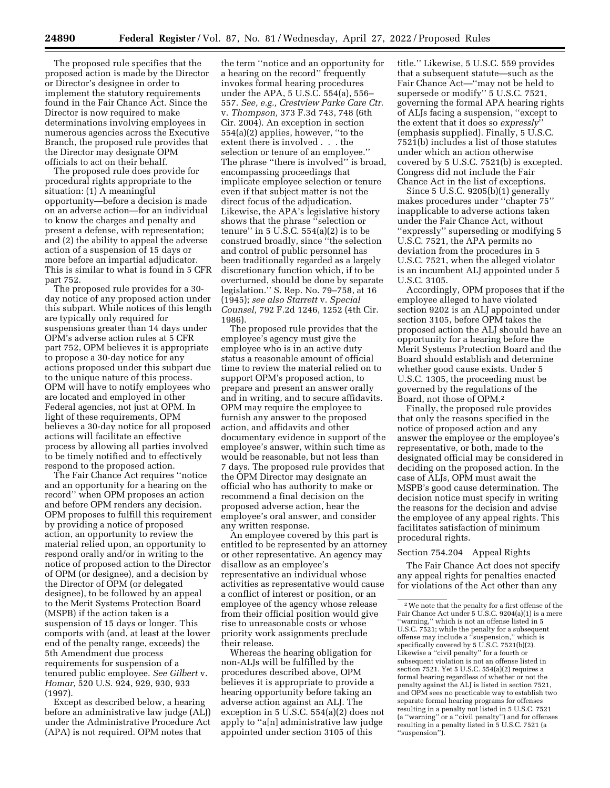The proposed rule specifies that the proposed action is made by the Director or Director's designee in order to implement the statutory requirements found in the Fair Chance Act. Since the Director is now required to make determinations involving employees in numerous agencies across the Executive Branch, the proposed rule provides that the Director may designate OPM officials to act on their behalf.

The proposed rule does provide for procedural rights appropriate to the situation: (1) A meaningful opportunity—before a decision is made on an adverse action—for an individual to know the charges and penalty and present a defense, with representation; and (2) the ability to appeal the adverse action of a suspension of 15 days or more before an impartial adjudicator. This is similar to what is found in 5 CFR part 752.

The proposed rule provides for a 30 day notice of any proposed action under this subpart. While notices of this length are typically only required for suspensions greater than 14 days under OPM's adverse action rules at 5 CFR part 752, OPM believes it is appropriate to propose a 30-day notice for any actions proposed under this subpart due to the unique nature of this process. OPM will have to notify employees who are located and employed in other Federal agencies, not just at OPM. In light of these requirements, OPM believes a 30-day notice for all proposed actions will facilitate an effective process by allowing all parties involved to be timely notified and to effectively respond to the proposed action.

The Fair Chance Act requires ''notice and an opportunity for a hearing on the record'' when OPM proposes an action and before OPM renders any decision. OPM proposes to fulfill this requirement by providing a notice of proposed action, an opportunity to review the material relied upon, an opportunity to respond orally and/or in writing to the notice of proposed action to the Director of OPM (or designee), and a decision by the Director of OPM (or delegated designee), to be followed by an appeal to the Merit Systems Protection Board (MSPB) if the action taken is a suspension of 15 days or longer. This comports with (and, at least at the lower end of the penalty range, exceeds) the 5th Amendment due process requirements for suspension of a tenured public employee. *See Gilbert* v. *Homar,* 520 U.S. 924, 929, 930, 933 (1997).

Except as described below, a hearing before an administrative law judge (ALJ) under the Administrative Procedure Act (APA) is not required. OPM notes that

the term ''notice and an opportunity for a hearing on the record'' frequently invokes formal hearing procedures under the APA, 5 U.S.C. 554(a), 556– 557. *See, e.g., Crestview Parke Care Ctr.*  v. *Thompson,* 373 F.3d 743, 748 (6th Cir. 2004). An exception in section 554(a)(2) applies, however, ''to the extent there is involved . . . the selection or tenure of an employee.'' The phrase ''there is involved'' is broad, encompassing proceedings that implicate employee selection or tenure even if that subject matter is not the direct focus of the adjudication. Likewise, the APA's legislative history shows that the phrase "selection or tenure" in  $5 \text{ U.S.C. } 554(a)(2)$  is to be construed broadly, since ''the selection and control of public personnel has been traditionally regarded as a largely discretionary function which, if to be overturned, should be done by separate legislation.'' S. Rep. No. 79–758, at 16 (1945); *see also Starrett* v. *Special Counsel,* 792 F.2d 1246, 1252 (4th Cir. 1986).

The proposed rule provides that the employee's agency must give the employee who is in an active duty status a reasonable amount of official time to review the material relied on to support OPM's proposed action, to prepare and present an answer orally and in writing, and to secure affidavits. OPM may require the employee to furnish any answer to the proposed action, and affidavits and other documentary evidence in support of the employee's answer, within such time as would be reasonable, but not less than 7 days. The proposed rule provides that the OPM Director may designate an official who has authority to make or recommend a final decision on the proposed adverse action, hear the employee's oral answer, and consider any written response.

An employee covered by this part is entitled to be represented by an attorney or other representative. An agency may disallow as an employee's representative an individual whose activities as representative would cause a conflict of interest or position, or an employee of the agency whose release from their official position would give rise to unreasonable costs or whose priority work assignments preclude their release.

Whereas the hearing obligation for non-ALJs will be fulfilled by the procedures described above, OPM believes it is appropriate to provide a hearing opportunity before taking an adverse action against an ALJ. The exception in 5 U.S.C. 554(a)(2) does not apply to ''a[n] administrative law judge appointed under section 3105 of this

title.'' Likewise, 5 U.S.C. 559 provides that a subsequent statute—such as the Fair Chance Act—''may not be held to supersede or modify'' 5 U.S.C. 7521, governing the formal APA hearing rights of ALJs facing a suspension, ''except to the extent that it does so *expressly*'' (emphasis supplied). Finally, 5 U.S.C. 7521(b) includes a list of those statutes under which an action otherwise covered by 5 U.S.C. 7521(b) is excepted. Congress did not include the Fair Chance Act in the list of exceptions.

Since 5 U.S.C. 9205(b)(1) generally makes procedures under ''chapter 75'' inapplicable to adverse actions taken under the Fair Chance Act, without ''expressly'' superseding or modifying 5 U.S.C. 7521, the APA permits no deviation from the procedures in 5 U.S.C. 7521, when the alleged violator is an incumbent ALJ appointed under 5 U.S.C. 3105.

Accordingly, OPM proposes that if the employee alleged to have violated section 9202 is an ALJ appointed under section 3105, before OPM takes the proposed action the ALJ should have an opportunity for a hearing before the Merit Systems Protection Board and the Board should establish and determine whether good cause exists. Under 5 U.S.C. 1305, the proceeding must be governed by the regulations of the Board, not those of OPM.2

Finally, the proposed rule provides that only the reasons specified in the notice of proposed action and any answer the employee or the employee's representative, or both, made to the designated official may be considered in deciding on the proposed action. In the case of ALJs, OPM must await the MSPB's good cause determination. The decision notice must specify in writing the reasons for the decision and advise the employee of any appeal rights. This facilitates satisfaction of minimum procedural rights.

# Section 754.204 Appeal Rights

The Fair Chance Act does not specify any appeal rights for penalties enacted for violations of the Act other than any

 $^{\rm 2}$  We note that the penalty for a first offense of the Fair Chance Act under 5 U.S.C. 9204(a)(1) is a mere ''warning,'' which is not an offense listed in 5 U.S.C. 7521; while the penalty for a subsequent offense may include a ''suspension,'' which is specifically covered by 5 U.S.C. 7521(b)(2). Likewise a ''civil penalty'' for a fourth or subsequent violation is not an offense listed in section 7521. Yet 5 U.S.C. 554(a)(2) requires a formal hearing regardless of whether or not the penalty against the ALJ is listed in section 7521, and OPM sees no practicable way to establish two separate formal hearing programs for offenses resulting in a penalty not listed in 5 U.S.C. 7521 (a ''warning'' or a ''civil penalty'') and for offenses resulting in a penalty listed in 5 U.S.C. 7521 (a ''suspension'').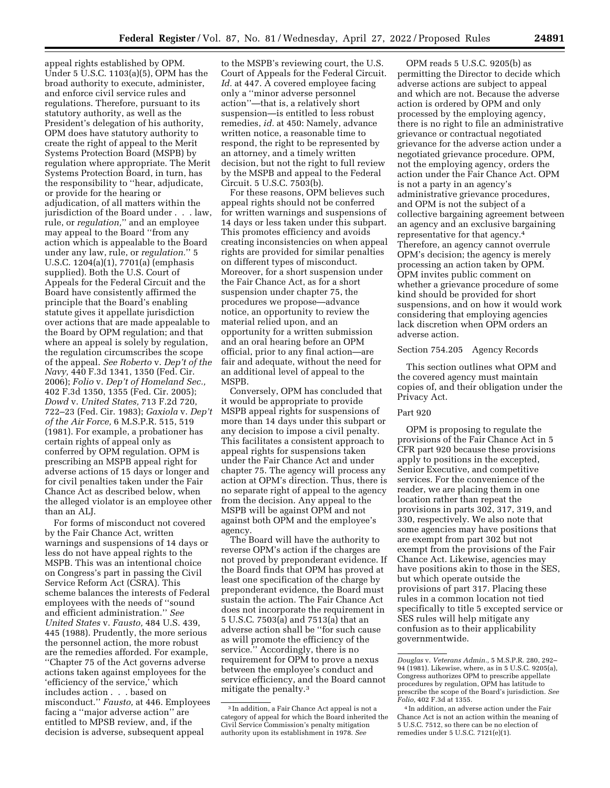appeal rights established by OPM. Under 5 U.S.C. 1103(a)(5), OPM has the broad authority to execute, administer, and enforce civil service rules and regulations. Therefore, pursuant to its statutory authority, as well as the President's delegation of his authority, OPM does have statutory authority to create the right of appeal to the Merit Systems Protection Board (MSPB) by regulation where appropriate. The Merit Systems Protection Board, in turn, has the responsibility to ''hear, adjudicate, or provide for the hearing or adjudication, of all matters within the jurisdiction of the Board under . . . law, rule, or *regulation,*'' and an employee may appeal to the Board ''from any action which is appealable to the Board under any law, rule, or *regulation.*'' 5 U.S.C. 1204(a)(1), 7701(a) (emphasis supplied). Both the U.S. Court of Appeals for the Federal Circuit and the Board have consistently affirmed the principle that the Board's enabling statute gives it appellate jurisdiction over actions that are made appealable to the Board by OPM regulation; and that where an appeal is solely by regulation, the regulation circumscribes the scope of the appeal. *See Roberto* v. *Dep't of the Navy,* 440 F.3d 1341, 1350 (Fed. Cir. 2006); *Folio* v. *Dep't of Homeland Sec.,*  402 F.3d 1350, 1355 (Fed. Cir. 2005); *Dowd* v. *United States,* 713 F.2d 720, 722–23 (Fed. Cir. 1983); *Gaxiola* v. *Dep't of the Air Force,* 6 M.S.P.R. 515, 519 (1981). For example, a probationer has certain rights of appeal only as conferred by OPM regulation. OPM is prescribing an MSPB appeal right for adverse actions of 15 days or longer and for civil penalties taken under the Fair Chance Act as described below, when the alleged violator is an employee other than an ALJ.

For forms of misconduct not covered by the Fair Chance Act, written warnings and suspensions of 14 days or less do not have appeal rights to the MSPB. This was an intentional choice on Congress's part in passing the Civil Service Reform Act (CSRA). This scheme balances the interests of Federal employees with the needs of ''sound and efficient administration.'' *See United States* v. *Fausto,* 484 U.S. 439, 445 (1988). Prudently, the more serious the personnel action, the more robust are the remedies afforded. For example, ''Chapter 75 of the Act governs adverse actions taken against employees for the 'efficiency of the service,' which includes action . . . based on misconduct.'' *Fausto,* at 446. Employees facing a ''major adverse action'' are entitled to MPSB review, and, if the decision is adverse, subsequent appeal

to the MSPB's reviewing court, the U.S. Court of Appeals for the Federal Circuit. *Id.* at 447. A covered employee facing only a ''minor adverse personnel action''—that is, a relatively short suspension—is entitled to less robust remedies, *id.* at 450: Namely, advance written notice, a reasonable time to respond, the right to be represented by an attorney, and a timely written decision, but not the right to full review by the MSPB and appeal to the Federal Circuit. 5 U.S.C. 7503(b).

For these reasons, OPM believes such appeal rights should not be conferred for written warnings and suspensions of 14 days or less taken under this subpart. This promotes efficiency and avoids creating inconsistencies on when appeal rights are provided for similar penalties on different types of misconduct. Moreover, for a short suspension under the Fair Chance Act, as for a short suspension under chapter 75, the procedures we propose—advance notice, an opportunity to review the material relied upon, and an opportunity for a written submission and an oral hearing before an OPM official, prior to any final action—are fair and adequate, without the need for an additional level of appeal to the MSPB.

Conversely, OPM has concluded that it would be appropriate to provide MSPB appeal rights for suspensions of more than 14 days under this subpart or any decision to impose a civil penalty. This facilitates a consistent approach to appeal rights for suspensions taken under the Fair Chance Act and under chapter 75. The agency will process any action at OPM's direction. Thus, there is no separate right of appeal to the agency from the decision. Any appeal to the MSPB will be against OPM and not against both OPM and the employee's agency.

The Board will have the authority to reverse OPM's action if the charges are not proved by preponderant evidence. If the Board finds that OPM has proved at least one specification of the charge by preponderant evidence, the Board must sustain the action. The Fair Chance Act does not incorporate the requirement in 5 U.S.C. 7503(a) and 7513(a) that an adverse action shall be ''for such cause as will promote the efficiency of the service.'' Accordingly, there is no requirement for OPM to prove a nexus between the employee's conduct and service efficiency, and the Board cannot mitigate the penalty.3

OPM reads 5 U.S.C. 9205(b) as permitting the Director to decide which adverse actions are subject to appeal and which are not. Because the adverse action is ordered by OPM and only processed by the employing agency, there is no right to file an administrative grievance or contractual negotiated grievance for the adverse action under a negotiated grievance procedure. OPM, not the employing agency, orders the action under the Fair Chance Act. OPM is not a party in an agency's administrative grievance procedures, and OPM is not the subject of a collective bargaining agreement between an agency and an exclusive bargaining representative for that agency.4 Therefore, an agency cannot overrule OPM's decision; the agency is merely processing an action taken by OPM. OPM invites public comment on whether a grievance procedure of some kind should be provided for short suspensions, and on how it would work considering that employing agencies lack discretion when OPM orders an adverse action.

## Section 754.205 Agency Records

This section outlines what OPM and the covered agency must maintain copies of, and their obligation under the Privacy Act.

## Part 920

OPM is proposing to regulate the provisions of the Fair Chance Act in 5 CFR part 920 because these provisions apply to positions in the excepted, Senior Executive, and competitive services. For the convenience of the reader, we are placing them in one location rather than repeat the provisions in parts 302, 317, 319, and 330, respectively. We also note that some agencies may have positions that are exempt from part 302 but not exempt from the provisions of the Fair Chance Act. Likewise, agencies may have positions akin to those in the SES, but which operate outside the provisions of part 317. Placing these rules in a common location not tied specifically to title 5 excepted service or SES rules will help mitigate any confusion as to their applicability governmentwide.

<sup>3</sup> In addition, a Fair Chance Act appeal is not a category of appeal for which the Board inherited the Civil Service Commission's penalty mitigation authority upon its establishment in 1978. *See* 

*Douglas* v. *Veterans Admin.,* 5 M.S.P.R. 280, 292– 94 (1981). Likewise, where, as in 5 U.S.C. 9205(a), Congress authorizes OPM to prescribe appellate procedures by regulation, OPM has latitude to prescribe the scope of the Board's jurisdiction. *See Folio,* 402 F.3d at 1355.

<sup>4</sup> In addition, an adverse action under the Fair Chance Act is not an action within the meaning of 5 U.S.C. 7512, so there can be no election of remedies under 5 U.S.C. 7121(e)(1).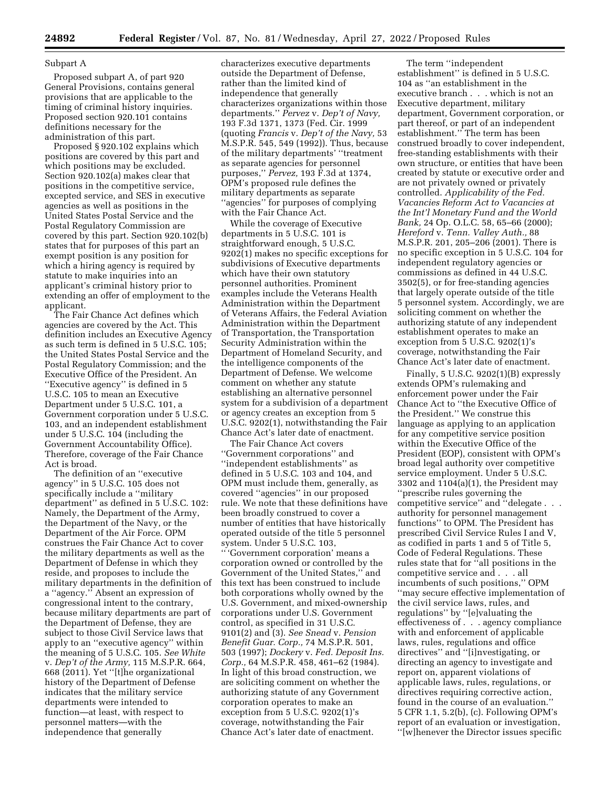## Subpart A

Proposed subpart A, of part 920 General Provisions, contains general provisions that are applicable to the timing of criminal history inquiries. Proposed section 920.101 contains definitions necessary for the administration of this part.

Proposed § 920.102 explains which positions are covered by this part and which positions may be excluded. Section 920.102(a) makes clear that positions in the competitive service, excepted service, and SES in executive agencies as well as positions in the United States Postal Service and the Postal Regulatory Commission are covered by this part. Section 920.102(b) states that for purposes of this part an exempt position is any position for which a hiring agency is required by statute to make inquiries into an applicant's criminal history prior to extending an offer of employment to the applicant.

The Fair Chance Act defines which agencies are covered by the Act. This definition includes an Executive Agency as such term is defined in 5 U.S.C. 105; the United States Postal Service and the Postal Regulatory Commission; and the Executive Office of the President. An ''Executive agency'' is defined in 5 U.S.C. 105 to mean an Executive Department under 5 U.S.C. 101, a Government corporation under 5 U.S.C. 103, and an independent establishment under 5 U.S.C. 104 (including the Government Accountability Office). Therefore, coverage of the Fair Chance Act is broad.

The definition of an ''executive agency'' in 5 U.S.C. 105 does not specifically include a ''military department'' as defined in 5 U.S.C. 102: Namely, the Department of the Army, the Department of the Navy, or the Department of the Air Force. OPM construes the Fair Chance Act to cover the military departments as well as the Department of Defense in which they reside, and proposes to include the military departments in the definition of a ''agency.'' Absent an expression of congressional intent to the contrary, because military departments are part of the Department of Defense, they are subject to those Civil Service laws that apply to an ''executive agency'' within the meaning of 5 U.S.C. 105. *See White*  v. *Dep't of the Army,* 115 M.S.P.R. 664, 668 (2011). Yet ''[t]he organizational history of the Department of Defense indicates that the military service departments were intended to function—at least, with respect to personnel matters—with the independence that generally

characterizes executive departments outside the Department of Defense, rather than the limited kind of independence that generally characterizes organizations within those departments.'' *Pervez* v. *Dep't of Navy,*  193 F.3d 1371, 1373 (Fed. Cir. 1999 (quoting *Francis* v. *Dep't of the Navy,* 53 M.S.P.R. 545, 549 (1992)). Thus, because of the military departments' ''treatment as separate agencies for personnel purposes,'' *Pervez,* 193 F.3d at 1374, OPM's proposed rule defines the military departments as separate ''agencies'' for purposes of complying with the Fair Chance Act.

While the coverage of Executive departments in 5 U.S.C. 101 is straightforward enough, 5 U.S.C. 9202(1) makes no specific exceptions for subdivisions of Executive departments which have their own statutory personnel authorities. Prominent examples include the Veterans Health Administration within the Department of Veterans Affairs, the Federal Aviation Administration within the Department of Transportation, the Transportation Security Administration within the Department of Homeland Security, and the intelligence components of the Department of Defense. We welcome comment on whether any statute establishing an alternative personnel system for a subdivision of a department or agency creates an exception from 5 U.S.C. 9202(1), notwithstanding the Fair Chance Act's later date of enactment.

The Fair Chance Act covers ''Government corporations'' and ''independent establishments'' as defined in 5 U.S.C. 103 and 104, and OPM must include them, generally, as covered ''agencies'' in our proposed rule. We note that these definitions have been broadly construed to cover a number of entities that have historically operated outside of the title 5 personnel system. Under 5 U.S.C. 103,

'' 'Government corporation' means a corporation owned or controlled by the Government of the United States,'' and this text has been construed to include both corporations wholly owned by the U.S. Government, and mixed-ownership corporations under U.S. Government control, as specified in 31 U.S.C. 9101(2) and (3). *See Snead* v. *Pension Benefit Guar. Corp.,* 74 M.S.P.R. 501, 503 (1997); *Dockery* v. *Fed. Deposit Ins. Corp.,* 64 M.S.P.R. 458, 461–62 (1984). In light of this broad construction, we are soliciting comment on whether the authorizing statute of any Government corporation operates to make an exception from 5 U.S.C. 9202(1)'s coverage, notwithstanding the Fair Chance Act's later date of enactment.

The term ''independent establishment'' is defined in 5 U.S.C. 104 as ''an establishment in the executive branch . . . which is not an Executive department, military department, Government corporation, or part thereof, or part of an independent establishment.'' The term has been construed broadly to cover independent, free-standing establishments with their own structure, or entities that have been created by statute or executive order and are not privately owned or privately controlled. *Applicability of the Fed. Vacancies Reform Act to Vacancies at the Int'l Monetary Fund and the World Bank,* 24 Op. O.L.C. 58, 65–66 (2000); *Hereford* v. *Tenn. Valley Auth.,* 88 M.S.P.R. 201, 205–206 (2001). There is no specific exception in 5 U.S.C. 104 for independent regulatory agencies or commissions as defined in 44 U.S.C. 3502(5), or for free-standing agencies that largely operate outside of the title 5 personnel system. Accordingly, we are soliciting comment on whether the authorizing statute of any independent establishment operates to make an exception from 5 U.S.C. 9202(1)'s coverage, notwithstanding the Fair Chance Act's later date of enactment.

Finally, 5 U.S.C. 9202(1)(B) expressly extends OPM's rulemaking and enforcement power under the Fair Chance Act to ''the Executive Office of the President.'' We construe this language as applying to an application for any competitive service position within the Executive Office of the President (EOP), consistent with OPM's broad legal authority over competitive service employment. Under 5 U.S.C. 3302 and 1104(a)(1), the President may ''prescribe rules governing the competitive service'' and ''delegate . . . authority for personnel management functions'' to OPM. The President has prescribed Civil Service Rules I and V, as codified in parts 1 and 5 of Title 5, Code of Federal Regulations. These rules state that for ''all positions in the competitive service and . . . all incumbents of such positions,'' OPM ''may secure effective implementation of the civil service laws, rules, and regulations'' by ''[e]valuating the effectiveness of . . . agency compliance with and enforcement of applicable laws, rules, regulations and office directives'' and ''[i]nvestigating, or directing an agency to investigate and report on, apparent violations of applicable laws, rules, regulations, or directives requiring corrective action, found in the course of an evaluation.'' 5 CFR 1.1, 5.2(b), (c). Following OPM's report of an evaluation or investigation, ''[w]henever the Director issues specific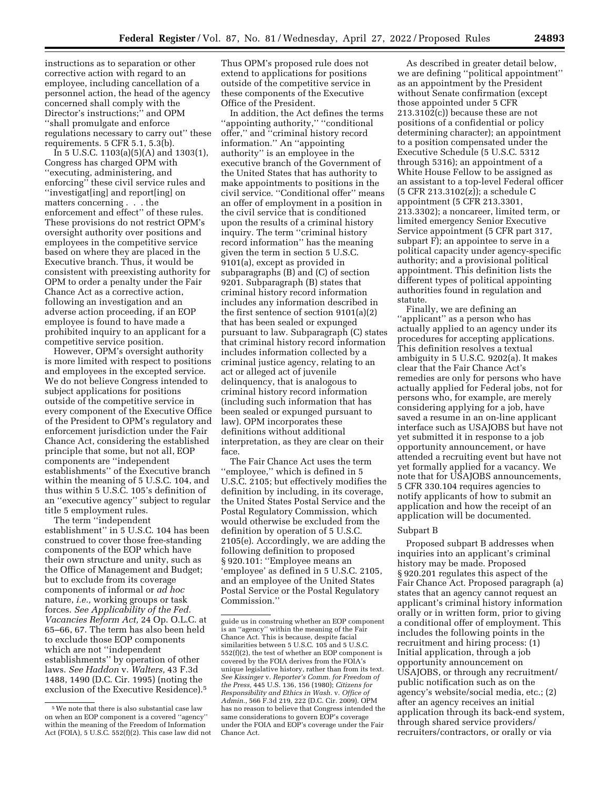instructions as to separation or other corrective action with regard to an employee, including cancellation of a personnel action, the head of the agency concerned shall comply with the Director's instructions;'' and OPM ''shall promulgate and enforce regulations necessary to carry out'' these requirements. 5 CFR 5.1, 5.3(b).

In 5 U.S.C. 1103(a)(5)(A) and 1303(1), Congress has charged OPM with ''executing, administering, and enforcing'' these civil service rules and ''investigat[ing] and report[ing] on matters concerning . . . the enforcement and effect'' of these rules. These provisions do not restrict OPM's oversight authority over positions and employees in the competitive service based on where they are placed in the Executive branch. Thus, it would be consistent with preexisting authority for OPM to order a penalty under the Fair Chance Act as a corrective action, following an investigation and an adverse action proceeding, if an EOP employee is found to have made a prohibited inquiry to an applicant for a competitive service position.

However, OPM's oversight authority is more limited with respect to positions and employees in the excepted service. We do not believe Congress intended to subject applications for positions outside of the competitive service in every component of the Executive Office of the President to OPM's regulatory and enforcement jurisdiction under the Fair Chance Act, considering the established principle that some, but not all, EOP components are ''independent establishments'' of the Executive branch within the meaning of 5 U.S.C. 104, and thus within 5 U.S.C. 105's definition of an ''executive agency'' subject to regular title 5 employment rules.

The term ''independent establishment'' in 5 U.S.C. 104 has been construed to cover those free-standing components of the EOP which have their own structure and unity, such as the Office of Management and Budget; but to exclude from its coverage components of informal or *ad hoc*  nature, *i.e.,* working groups or task forces. *See Applicability of the Fed. Vacancies Reform Act,* 24 Op. O.L.C. at 65–66, 67. The term has also been held to exclude those EOP components which are not ''independent establishments'' by operation of other laws. *See Haddon* v. *Walters,* 43 F.3d 1488, 1490 (D.C. Cir. 1995) (noting the exclusion of the Executive Residence).5

Thus OPM's proposed rule does not extend to applications for positions outside of the competitive service in these components of the Executive Office of the President.

In addition, the Act defines the terms ''appointing authority,'' ''conditional offer,'' and ''criminal history record information.'' An ''appointing authority'' is an employee in the executive branch of the Government of the United States that has authority to make appointments to positions in the civil service. ''Conditional offer'' means an offer of employment in a position in the civil service that is conditioned upon the results of a criminal history inquiry. The term ''criminal history record information'' has the meaning given the term in section 5 U.S.C. 9101(a), except as provided in subparagraphs (B) and (C) of section 9201. Subparagraph (B) states that criminal history record information includes any information described in the first sentence of section 9101(a)(2) that has been sealed or expunged pursuant to law. Subparagraph (C) states that criminal history record information includes information collected by a criminal justice agency, relating to an act or alleged act of juvenile delinquency, that is analogous to criminal history record information (including such information that has been sealed or expunged pursuant to law). OPM incorporates these definitions without additional interpretation, as they are clear on their face.

The Fair Chance Act uses the term ''employee,'' which is defined in 5 U.S.C. 2105; but effectively modifies the definition by including, in its coverage, the United States Postal Service and the Postal Regulatory Commission, which would otherwise be excluded from the definition by operation of 5 U.S.C. 2105(e). Accordingly, we are adding the following definition to proposed § 920.101: ''Employee means an 'employee' as defined in 5 U.S.C. 2105, and an employee of the United States Postal Service or the Postal Regulatory Commission.''

As described in greater detail below, we are defining ''political appointment'' as an appointment by the President without Senate confirmation (except those appointed under 5 CFR 213.3102(c)) because these are not positions of a confidential or policy determining character); an appointment to a position compensated under the Executive Schedule (5 U.S.C. 5312 through 5316); an appointment of a White House Fellow to be assigned as an assistant to a top-level Federal officer (5 CFR 213.3102(z)); a schedule C appointment (5 CFR 213.3301, 213.3302); a noncareer, limited term, or limited emergency Senior Executive Service appointment (5 CFR part 317, subpart F); an appointee to serve in a political capacity under agency-specific authority; and a provisional political appointment. This definition lists the different types of political appointing authorities found in regulation and statute.

Finally, we are defining an ''applicant'' as a person who has actually applied to an agency under its procedures for accepting applications. This definition resolves a textual ambiguity in 5 U.S.C. 9202(a). It makes clear that the Fair Chance Act's remedies are only for persons who have actually applied for Federal jobs, not for persons who, for example, are merely considering applying for a job, have saved a resume in an on-line applicant interface such as USAJOBS but have not yet submitted it in response to a job opportunity announcement, or have attended a recruiting event but have not yet formally applied for a vacancy. We note that for USAJOBS announcements, 5 CFR 330.104 requires agencies to notify applicants of how to submit an application and how the receipt of an application will be documented.

## Subpart B

Proposed subpart B addresses when inquiries into an applicant's criminal history may be made. Proposed § 920.201 regulates this aspect of the Fair Chance Act. Proposed paragraph (a) states that an agency cannot request an applicant's criminal history information orally or in written form, prior to giving a conditional offer of employment. This includes the following points in the recruitment and hiring process: (1) Initial application, through a job opportunity announcement on USAJOBS, or through any recruitment/ public notification such as on the agency's website/social media, etc.; (2) after an agency receives an initial application through its back-end system, through shared service providers/ recruiters/contractors, or orally or via

<sup>5</sup>We note that there is also substantial case law on when an EOP component is a covered ''agency'' within the meaning of the Freedom of Information Act (FOIA), 5 U.S.C. 552(f)(2). This case law did not

guide us in construing whether an EOP component is an ''agency'' within the meaning of the Fair Chance Act. This is because, despite facial similarities between 5 U.S.C. 105 and 5 U.S.C. 552(f)(2), the test of whether an EOP component is covered by the FOIA derives from the FOIA's unique legislative history, rather than from its text. *See Kissinger* v. *Reporter's Comm. for Freedom of the Press,* 445 U.S. 136, 156 (1980); *Citizens for Responsibility and Ethics in Wash.* v. *Office of Admin.,* 566 F.3d 219, 222 (D.C. Cir. 2009). OPM has no reason to believe that Congress intended the same considerations to govern EOP's coverage under the FOIA and EOP's coverage under the Fair Chance Act.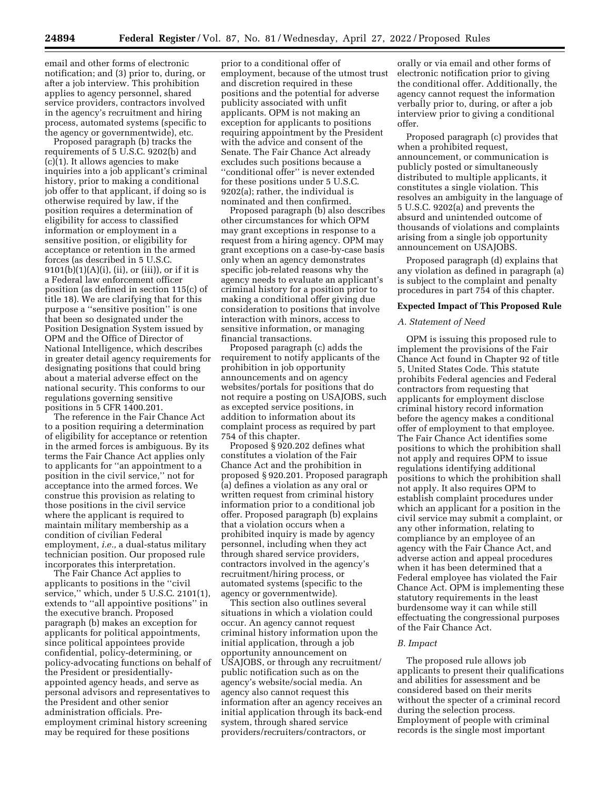email and other forms of electronic notification; and (3) prior to, during, or after a job interview. This prohibition applies to agency personnel, shared service providers, contractors involved in the agency's recruitment and hiring process, automated systems (specific to the agency or governmentwide), etc.

Proposed paragraph (b) tracks the requirements of 5 U.S.C. 9202(b) and (c)(1). It allows agencies to make inquiries into a job applicant's criminal history, prior to making a conditional job offer to that applicant, if doing so is otherwise required by law, if the position requires a determination of eligibility for access to classified information or employment in a sensitive position, or eligibility for acceptance or retention in the armed forces (as described in 5 U.S.C.  $9101(b)(1)(A)(i)$ , (ii), or (iii)), or if it is a Federal law enforcement officer position (as defined in section 115(c) of title 18). We are clarifying that for this purpose a ''sensitive position'' is one that been so designated under the Position Designation System issued by OPM and the Office of Director of National Intelligence, which describes in greater detail agency requirements for designating positions that could bring about a material adverse effect on the national security. This conforms to our regulations governing sensitive positions in 5 CFR 1400.201.

The reference in the Fair Chance Act to a position requiring a determination of eligibility for acceptance or retention in the armed forces is ambiguous. By its terms the Fair Chance Act applies only to applicants for ''an appointment to a position in the civil service,'' not for acceptance into the armed forces. We construe this provision as relating to those positions in the civil service where the applicant is required to maintain military membership as a condition of civilian Federal employment, *i.e.,* a dual-status military technician position. Our proposed rule incorporates this interpretation.

The Fair Chance Act applies to applicants to positions in the ''civil service,'' which, under 5 U.S.C. 2101(1), extends to ''all appointive positions'' in the executive branch. Proposed paragraph (b) makes an exception for applicants for political appointments, since political appointees provide confidential, policy-determining, or policy-advocating functions on behalf of the President or presidentiallyappointed agency heads, and serve as personal advisors and representatives to the President and other senior administration officials. Preemployment criminal history screening may be required for these positions

prior to a conditional offer of employment, because of the utmost trust and discretion required in these positions and the potential for adverse publicity associated with unfit applicants. OPM is not making an exception for applicants to positions requiring appointment by the President with the advice and consent of the Senate. The Fair Chance Act already excludes such positions because a ''conditional offer'' is never extended for these positions under 5 U.S.C. 9202(a); rather, the individual is nominated and then confirmed.

Proposed paragraph (b) also describes other circumstances for which OPM may grant exceptions in response to a request from a hiring agency. OPM may grant exceptions on a case-by-case basis only when an agency demonstrates specific job-related reasons why the agency needs to evaluate an applicant's criminal history for a position prior to making a conditional offer giving due consideration to positions that involve interaction with minors, access to sensitive information, or managing financial transactions.

Proposed paragraph (c) adds the requirement to notify applicants of the prohibition in job opportunity announcements and on agency websites/portals for positions that do not require a posting on USAJOBS, such as excepted service positions, in addition to information about its complaint process as required by part 754 of this chapter.

Proposed § 920.202 defines what constitutes a violation of the Fair Chance Act and the prohibition in proposed § 920.201. Proposed paragraph (a) defines a violation as any oral or written request from criminal history information prior to a conditional job offer. Proposed paragraph (b) explains that a violation occurs when a prohibited inquiry is made by agency personnel, including when they act through shared service providers, contractors involved in the agency's recruitment/hiring process, or automated systems (specific to the agency or governmentwide).

This section also outlines several situations in which a violation could occur. An agency cannot request criminal history information upon the initial application, through a job opportunity announcement on USAJOBS, or through any recruitment/ public notification such as on the agency's website/social media. An agency also cannot request this information after an agency receives an initial application through its back-end system, through shared service providers/recruiters/contractors, or

orally or via email and other forms of electronic notification prior to giving the conditional offer. Additionally, the agency cannot request the information verbally prior to, during, or after a job interview prior to giving a conditional offer.

Proposed paragraph (c) provides that when a prohibited request, announcement, or communication is publicly posted or simultaneously distributed to multiple applicants, it constitutes a single violation. This resolves an ambiguity in the language of 5 U.S.C. 9202(a) and prevents the absurd and unintended outcome of thousands of violations and complaints arising from a single job opportunity announcement on USAJOBS.

Proposed paragraph (d) explains that any violation as defined in paragraph (a) is subject to the complaint and penalty procedures in part 754 of this chapter.

# **Expected Impact of This Proposed Rule**

## *A. Statement of Need*

OPM is issuing this proposed rule to implement the provisions of the Fair Chance Act found in Chapter 92 of title 5, United States Code. This statute prohibits Federal agencies and Federal contractors from requesting that applicants for employment disclose criminal history record information before the agency makes a conditional offer of employment to that employee. The Fair Chance Act identifies some positions to which the prohibition shall not apply and requires OPM to issue regulations identifying additional positions to which the prohibition shall not apply. It also requires OPM to establish complaint procedures under which an applicant for a position in the civil service may submit a complaint, or any other information, relating to compliance by an employee of an agency with the Fair Chance Act, and adverse action and appeal procedures when it has been determined that a Federal employee has violated the Fair Chance Act. OPM is implementing these statutory requirements in the least burdensome way it can while still effectuating the congressional purposes of the Fair Chance Act.

#### *B. Impact*

The proposed rule allows job applicants to present their qualifications and abilities for assessment and be considered based on their merits without the specter of a criminal record during the selection process. Employment of people with criminal records is the single most important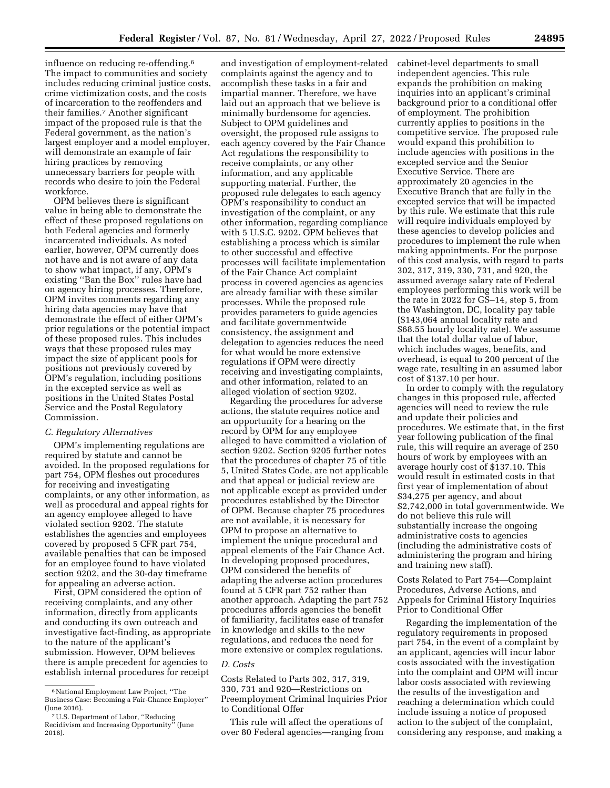influence on reducing re-offending.6 The impact to communities and society includes reducing criminal justice costs, crime victimization costs, and the costs of incarceration to the reoffenders and their families.7 Another significant impact of the proposed rule is that the Federal government, as the nation's largest employer and a model employer, will demonstrate an example of fair hiring practices by removing unnecessary barriers for people with records who desire to join the Federal workforce.

OPM believes there is significant value in being able to demonstrate the effect of these proposed regulations on both Federal agencies and formerly incarcerated individuals. As noted earlier, however, OPM currently does not have and is not aware of any data to show what impact, if any, OPM's existing ''Ban the Box'' rules have had on agency hiring processes. Therefore, OPM invites comments regarding any hiring data agencies may have that demonstrate the effect of either OPM's prior regulations or the potential impact of these proposed rules. This includes ways that these proposed rules may impact the size of applicant pools for positions not previously covered by OPM's regulation, including positions in the excepted service as well as positions in the United States Postal Service and the Postal Regulatory Commission.

## *C. Regulatory Alternatives*

OPM's implementing regulations are required by statute and cannot be avoided. In the proposed regulations for part 754, OPM fleshes out procedures for receiving and investigating complaints, or any other information, as well as procedural and appeal rights for an agency employee alleged to have violated section 9202. The statute establishes the agencies and employees covered by proposed 5 CFR part 754, available penalties that can be imposed for an employee found to have violated section 9202, and the 30-day timeframe for appealing an adverse action.

First, OPM considered the option of receiving complaints, and any other information, directly from applicants and conducting its own outreach and investigative fact-finding, as appropriate to the nature of the applicant's submission. However, OPM believes there is ample precedent for agencies to establish internal procedures for receipt

and investigation of employment-related complaints against the agency and to accomplish these tasks in a fair and impartial manner. Therefore, we have laid out an approach that we believe is minimally burdensome for agencies. Subject to OPM guidelines and oversight, the proposed rule assigns to each agency covered by the Fair Chance Act regulations the responsibility to receive complaints, or any other information, and any applicable supporting material. Further, the proposed rule delegates to each agency OPM's responsibility to conduct an investigation of the complaint, or any other information, regarding compliance with 5 U.S.C. 9202. OPM believes that establishing a process which is similar to other successful and effective processes will facilitate implementation of the Fair Chance Act complaint process in covered agencies as agencies are already familiar with these similar processes. While the proposed rule provides parameters to guide agencies and facilitate governmentwide consistency, the assignment and delegation to agencies reduces the need for what would be more extensive regulations if OPM were directly receiving and investigating complaints, and other information, related to an alleged violation of section 9202.

Regarding the procedures for adverse actions, the statute requires notice and an opportunity for a hearing on the record by OPM for any employee alleged to have committed a violation of section 9202. Section 9205 further notes that the procedures of chapter 75 of title 5, United States Code, are not applicable and that appeal or judicial review are not applicable except as provided under procedures established by the Director of OPM. Because chapter 75 procedures are not available, it is necessary for OPM to propose an alternative to implement the unique procedural and appeal elements of the Fair Chance Act. In developing proposed procedures, OPM considered the benefits of adapting the adverse action procedures found at 5 CFR part 752 rather than another approach. Adapting the part 752 procedures affords agencies the benefit of familiarity, facilitates ease of transfer in knowledge and skills to the new regulations, and reduces the need for more extensive or complex regulations.

## *D. Costs*

Costs Related to Parts 302, 317, 319, 330, 731 and 920—Restrictions on Preemployment Criminal Inquiries Prior to Conditional Offer

This rule will affect the operations of over 80 Federal agencies—ranging from cabinet-level departments to small independent agencies. This rule expands the prohibition on making inquiries into an applicant's criminal background prior to a conditional offer of employment. The prohibition currently applies to positions in the competitive service. The proposed rule would expand this prohibition to include agencies with positions in the excepted service and the Senior Executive Service. There are approximately 20 agencies in the Executive Branch that are fully in the excepted service that will be impacted by this rule. We estimate that this rule will require individuals employed by these agencies to develop policies and procedures to implement the rule when making appointments. For the purpose of this cost analysis, with regard to parts 302, 317, 319, 330, 731, and 920, the assumed average salary rate of Federal employees performing this work will be the rate in 2022 for GS–14, step 5, from the Washington, DC, locality pay table (\$143,064 annual locality rate and \$68.55 hourly locality rate). We assume that the total dollar value of labor, which includes wages, benefits, and overhead, is equal to 200 percent of the wage rate, resulting in an assumed labor cost of \$137.10 per hour.

In order to comply with the regulatory changes in this proposed rule, affected agencies will need to review the rule and update their policies and procedures. We estimate that, in the first year following publication of the final rule, this will require an average of 250 hours of work by employees with an average hourly cost of \$137.10. This would result in estimated costs in that first year of implementation of about \$34,275 per agency, and about \$2,742,000 in total governmentwide. We do not believe this rule will substantially increase the ongoing administrative costs to agencies (including the administrative costs of administering the program and hiring and training new staff).

Costs Related to Part 754—Complaint Procedures, Adverse Actions, and Appeals for Criminal History Inquiries Prior to Conditional Offer

Regarding the implementation of the regulatory requirements in proposed part 754, in the event of a complaint by an applicant, agencies will incur labor costs associated with the investigation into the complaint and OPM will incur labor costs associated with reviewing the results of the investigation and reaching a determination which could include issuing a notice of proposed action to the subject of the complaint, considering any response, and making a

 $^{\rm 6}$  National Employment Law Project, ''The Business Case: Becoming a Fair-Chance Employer'' (June 2016).

<sup>7</sup>U.S. Department of Labor, ''Reducing Recidivism and Increasing Opportunity'' (June 2018).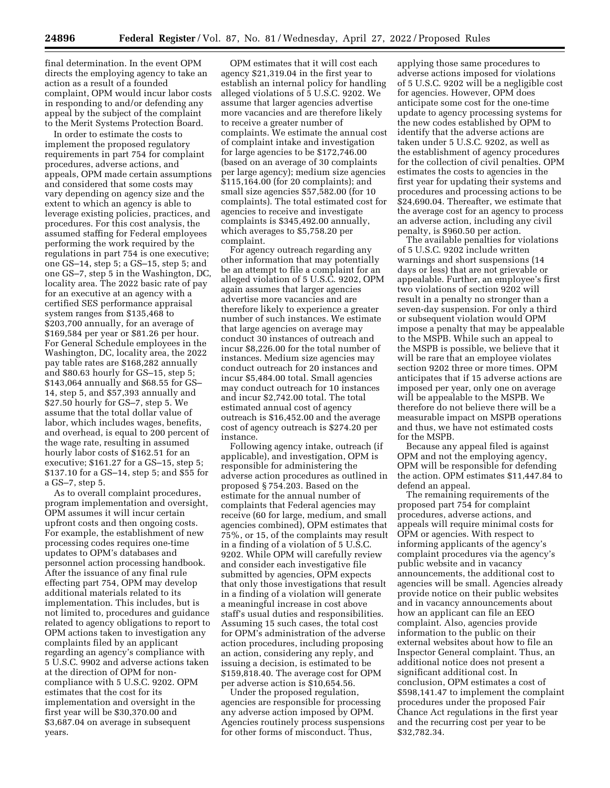final determination. In the event OPM directs the employing agency to take an action as a result of a founded complaint, OPM would incur labor costs in responding to and/or defending any appeal by the subject of the complaint to the Merit Systems Protection Board.

In order to estimate the costs to implement the proposed regulatory requirements in part 754 for complaint procedures, adverse actions, and appeals, OPM made certain assumptions and considered that some costs may vary depending on agency size and the extent to which an agency is able to leverage existing policies, practices, and procedures. For this cost analysis, the assumed staffing for Federal employees performing the work required by the regulations in part 754 is one executive; one GS–14, step 5; a GS–15, step 5; and one GS–7, step 5 in the Washington, DC, locality area. The 2022 basic rate of pay for an executive at an agency with a certified SES performance appraisal system ranges from \$135,468 to \$203,700 annually, for an average of \$169,584 per year or \$81.26 per hour. For General Schedule employees in the Washington, DC, locality area, the 2022 pay table rates are \$168,282 annually and \$80.63 hourly for GS–15, step 5; \$143,064 annually and \$68.55 for GS– 14, step 5, and \$57,393 annually and \$27.50 hourly for GS–7, step 5. We assume that the total dollar value of labor, which includes wages, benefits, and overhead, is equal to 200 percent of the wage rate, resulting in assumed hourly labor costs of \$162.51 for an executive; \$161.27 for a GS–15, step 5; \$137.10 for a GS–14, step 5; and \$55 for a GS–7, step 5.

As to overall complaint procedures, program implementation and oversight, OPM assumes it will incur certain upfront costs and then ongoing costs. For example, the establishment of new processing codes requires one-time updates to OPM's databases and personnel action processing handbook. After the issuance of any final rule effecting part 754, OPM may develop additional materials related to its implementation. This includes, but is not limited to, procedures and guidance related to agency obligations to report to OPM actions taken to investigation any complaints filed by an applicant regarding an agency's compliance with 5 U.S.C. 9902 and adverse actions taken at the direction of OPM for noncompliance with 5 U.S.C. 9202. OPM estimates that the cost for its implementation and oversight in the first year will be \$30,370.00 and \$3,687.04 on average in subsequent years.

OPM estimates that it will cost each agency \$21,319.04 in the first year to establish an internal policy for handling alleged violations of 5 U.S.C. 9202. We assume that larger agencies advertise more vacancies and are therefore likely to receive a greater number of complaints. We estimate the annual cost of complaint intake and investigation for large agencies to be \$172,746.00 (based on an average of 30 complaints per large agency); medium size agencies \$115,164.00 (for 20 complaints); and small size agencies \$57,582.00 (for 10 complaints). The total estimated cost for agencies to receive and investigate complaints is \$345,492.00 annually, which averages to \$5,758.20 per complaint.

For agency outreach regarding any other information that may potentially be an attempt to file a complaint for an alleged violation of 5 U.S.C. 9202, OPM again assumes that larger agencies advertise more vacancies and are therefore likely to experience a greater number of such instances. We estimate that large agencies on average may conduct 30 instances of outreach and incur \$8,226.00 for the total number of instances. Medium size agencies may conduct outreach for 20 instances and incur \$5,484.00 total. Small agencies may conduct outreach for 10 instances and incur \$2,742.00 total. The total estimated annual cost of agency outreach is \$16,452.00 and the average cost of agency outreach is \$274.20 per instance.

Following agency intake, outreach (if applicable), and investigation, OPM is responsible for administering the adverse action procedures as outlined in proposed § 754.203. Based on the estimate for the annual number of complaints that Federal agencies may receive (60 for large, medium, and small agencies combined), OPM estimates that 75%, or 15, of the complaints may result in a finding of a violation of 5 U.S.C. 9202. While OPM will carefully review and consider each investigative file submitted by agencies, OPM expects that only those investigations that result in a finding of a violation will generate a meaningful increase in cost above staff's usual duties and responsibilities. Assuming 15 such cases, the total cost for OPM's administration of the adverse action procedures, including proposing an action, considering any reply, and issuing a decision, is estimated to be \$159,818.40. The average cost for OPM per adverse action is \$10,654.56.

Under the proposed regulation, agencies are responsible for processing any adverse action imposed by OPM. Agencies routinely process suspensions for other forms of misconduct. Thus,

applying those same procedures to adverse actions imposed for violations of 5 U.S.C. 9202 will be a negligible cost for agencies. However, OPM does anticipate some cost for the one-time update to agency processing systems for the new codes established by OPM to identify that the adverse actions are taken under 5 U.S.C. 9202, as well as the establishment of agency procedures for the collection of civil penalties. OPM estimates the costs to agencies in the first year for updating their systems and procedures and processing actions to be \$24,690.04. Thereafter, we estimate that the average cost for an agency to process an adverse action, including any civil penalty, is \$960.50 per action.

The available penalties for violations of 5 U.S.C. 9202 include written warnings and short suspensions (14 days or less) that are not grievable or appealable. Further, an employee's first two violations of section 9202 will result in a penalty no stronger than a seven-day suspension. For only a third or subsequent violation would OPM impose a penalty that may be appealable to the MSPB. While such an appeal to the MSPB is possible, we believe that it will be rare that an employee violates section 9202 three or more times. OPM anticipates that if 15 adverse actions are imposed per year, only one on average will be appealable to the MSPB. We therefore do not believe there will be a measurable impact on MSPB operations and thus, we have not estimated costs for the MSPB.

Because any appeal filed is against OPM and not the employing agency, OPM will be responsible for defending the action. OPM estimates \$11,447.84 to defend an appeal.

The remaining requirements of the proposed part 754 for complaint procedures, adverse actions, and appeals will require minimal costs for OPM or agencies. With respect to informing applicants of the agency's complaint procedures via the agency's public website and in vacancy announcements, the additional cost to agencies will be small. Agencies already provide notice on their public websites and in vacancy announcements about how an applicant can file an EEO complaint. Also, agencies provide information to the public on their external websites about how to file an Inspector General complaint. Thus, an additional notice does not present a significant additional cost. In conclusion, OPM estimates a cost of \$598,141.47 to implement the complaint procedures under the proposed Fair Chance Act regulations in the first year and the recurring cost per year to be \$32,782.34.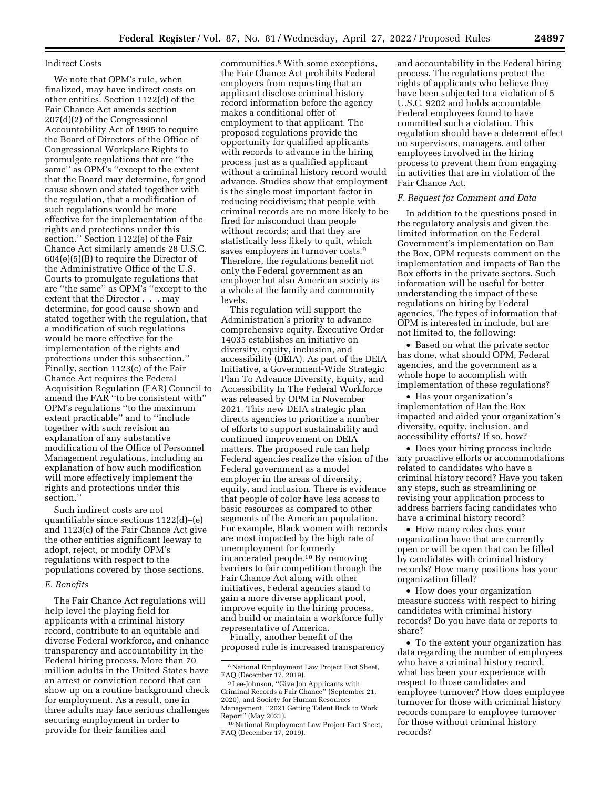## Indirect Costs

We note that OPM's rule, when finalized, may have indirect costs on other entities. Section 1122(d) of the Fair Chance Act amends section 207(d)(2) of the Congressional Accountability Act of 1995 to require the Board of Directors of the Office of Congressional Workplace Rights to promulgate regulations that are ''the same'' as OPM's ''except to the extent that the Board may determine, for good cause shown and stated together with the regulation, that a modification of such regulations would be more effective for the implementation of the rights and protections under this section.'' Section 1122(e) of the Fair Chance Act similarly amends 28 U.S.C. 604(e)(5)(B) to require the Director of the Administrative Office of the U.S. Courts to promulgate regulations that are ''the same'' as OPM's ''except to the extent that the Director . . . may determine, for good cause shown and stated together with the regulation, that a modification of such regulations would be more effective for the implementation of the rights and protections under this subsection.'' Finally, section 1123(c) of the Fair Chance Act requires the Federal Acquisition Regulation (FAR) Council to amend the FAR ''to be consistent with'' OPM's regulations ''to the maximum extent practicable'' and to ''include together with such revision an explanation of any substantive modification of the Office of Personnel Management regulations, including an explanation of how such modification will more effectively implement the rights and protections under this section.''

Such indirect costs are not quantifiable since sections 1122(d)–(e) and 1123(c) of the Fair Chance Act give the other entities significant leeway to adopt, reject, or modify OPM's regulations with respect to the populations covered by those sections.

# *E. Benefits*

The Fair Chance Act regulations will help level the playing field for applicants with a criminal history record, contribute to an equitable and diverse Federal workforce, and enhance transparency and accountability in the Federal hiring process. More than 70 million adults in the United States have an arrest or conviction record that can show up on a routine background check for employment. As a result, one in three adults may face serious challenges securing employment in order to provide for their families and

communities.8 With some exceptions, the Fair Chance Act prohibits Federal employers from requesting that an applicant disclose criminal history record information before the agency makes a conditional offer of employment to that applicant. The proposed regulations provide the opportunity for qualified applicants with records to advance in the hiring process just as a qualified applicant without a criminal history record would advance. Studies show that employment is the single most important factor in reducing recidivism; that people with criminal records are no more likely to be fired for misconduct than people without records; and that they are statistically less likely to quit, which saves employers in turnover costs.9 Therefore, the regulations benefit not only the Federal government as an employer but also American society as a whole at the family and community levels.

This regulation will support the Administration's priority to advance comprehensive equity. Executive Order 14035 establishes an initiative on diversity, equity, inclusion, and accessibility (DEIA). As part of the DEIA Initiative, a Government-Wide Strategic Plan To Advance Diversity, Equity, and Accessibility In The Federal Workforce was released by OPM in November 2021. This new DEIA strategic plan directs agencies to prioritize a number of efforts to support sustainability and continued improvement on DEIA matters. The proposed rule can help Federal agencies realize the vision of the Federal government as a model employer in the areas of diversity, equity, and inclusion. There is evidence that people of color have less access to basic resources as compared to other segments of the American population. For example, Black women with records are most impacted by the high rate of unemployment for formerly incarcerated people.10 By removing barriers to fair competition through the Fair Chance Act along with other initiatives, Federal agencies stand to gain a more diverse applicant pool, improve equity in the hiring process, and build or maintain a workforce fully representative of America.

Finally, another benefit of the proposed rule is increased transparency

and accountability in the Federal hiring process. The regulations protect the rights of applicants who believe they have been subjected to a violation of 5 U.S.C. 9202 and holds accountable Federal employees found to have committed such a violation. This regulation should have a deterrent effect on supervisors, managers, and other employees involved in the hiring process to prevent them from engaging in activities that are in violation of the Fair Chance Act.

# *F. Request for Comment and Data*

In addition to the questions posed in the regulatory analysis and given the limited information on the Federal Government's implementation on Ban the Box, OPM requests comment on the implementation and impacts of Ban the Box efforts in the private sectors. Such information will be useful for better understanding the impact of these regulations on hiring by Federal agencies. The types of information that OPM is interested in include, but are not limited to, the following:

• Based on what the private sector has done, what should OPM, Federal agencies, and the government as a whole hope to accomplish with implementation of these regulations?

• Has your organization's implementation of Ban the Box impacted and aided your organization's diversity, equity, inclusion, and accessibility efforts? If so, how?

• Does your hiring process include any proactive efforts or accommodations related to candidates who have a criminal history record? Have you taken any steps, such as streamlining or revising your application process to address barriers facing candidates who have a criminal history record?

• How many roles does your organization have that are currently open or will be open that can be filled by candidates with criminal history records? How many positions has your organization filled?

• How does your organization measure success with respect to hiring candidates with criminal history records? Do you have data or reports to share?

• To the extent your organization has data regarding the number of employees who have a criminal history record, what has been your experience with respect to those candidates and employee turnover? How does employee turnover for those with criminal history records compare to employee turnover for those without criminal history records?

<sup>8</sup>National Employment Law Project Fact Sheet, FAQ (December 17, 2019).

<sup>9</sup>Lee-Johnson, ''Give Job Applicants with Criminal Records a Fair Chance'' (September 21, 2020), and Society for Human Resources Management, ''2021 Getting Talent Back to Work Report'' (May 2021).

<sup>10</sup>National Employment Law Project Fact Sheet, FAQ (December 17, 2019).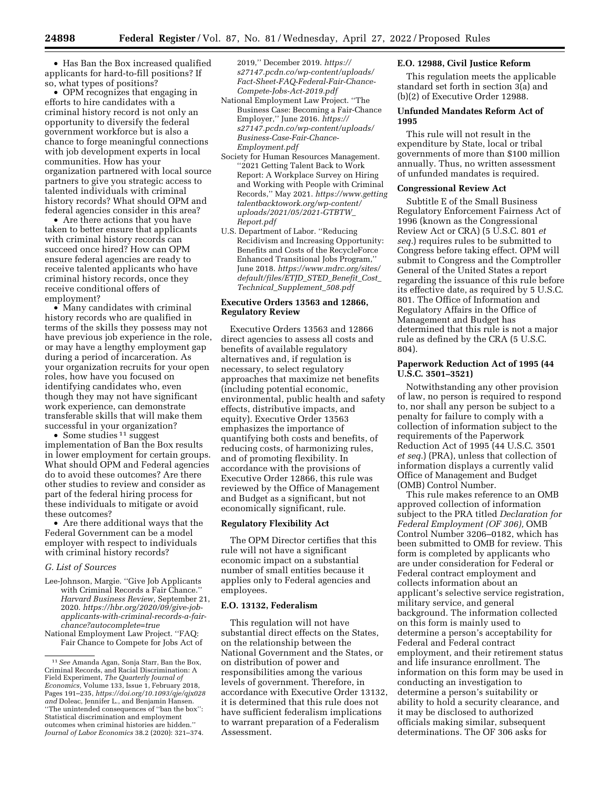• Has Ban the Box increased qualified applicants for hard-to-fill positions? If so, what types of positions?

• OPM recognizes that engaging in efforts to hire candidates with a criminal history record is not only an opportunity to diversify the federal government workforce but is also a chance to forge meaningful connections with job development experts in local communities. How has your organization partnered with local source partners to give you strategic access to talented individuals with criminal history records? What should OPM and federal agencies consider in this area?

• Are there actions that you have taken to better ensure that applicants with criminal history records can succeed once hired? How can OPM ensure federal agencies are ready to receive talented applicants who have criminal history records, once they receive conditional offers of employment?

• Many candidates with criminal history records who are qualified in terms of the skills they possess may not have previous job experience in the role, or may have a lengthy employment gap during a period of incarceration. As your organization recruits for your open roles, how have you focused on identifying candidates who, even though they may not have significant work experience, can demonstrate transferable skills that will make them successful in your organization?

• Some studies <sup>11</sup> suggest implementation of Ban the Box results in lower employment for certain groups. What should OPM and Federal agencies do to avoid these outcomes? Are there other studies to review and consider as part of the federal hiring process for these individuals to mitigate or avoid these outcomes?

• Are there additional ways that the Federal Government can be a model employer with respect to individuals with criminal history records?

## *G. List of Sources*

- Lee-Johnson, Margie. ''Give Job Applicants with Criminal Records a Fair Chance.'' *Harvard Business Review,* September 21, 2020. *[https://hbr.org/2020/09/give-job](https://hbr.org/2020/09/give-job-applicants-with-criminal-records-a-fair-chance?autocomplete=true)[applicants-with-criminal-records-a-fair](https://hbr.org/2020/09/give-job-applicants-with-criminal-records-a-fair-chance?autocomplete=true)chance?autocomplete=true*
- National Employment Law Project. ''FAQ: Fair Chance to Compete for Jobs Act of

2019,'' December 2019. *[https://](https://s27147.pcdn.co/wp-content/uploads/Fact-Sheet-FAQ-Federal-Fair-Chance-Compete-Jobs-Act-2019.pdf) [s27147.pcdn.co/wp-content/uploads/](https://s27147.pcdn.co/wp-content/uploads/Fact-Sheet-FAQ-Federal-Fair-Chance-Compete-Jobs-Act-2019.pdf) [Fact-Sheet-FAQ-Federal-Fair-Chance-](https://s27147.pcdn.co/wp-content/uploads/Fact-Sheet-FAQ-Federal-Fair-Chance-Compete-Jobs-Act-2019.pdf)[Compete-Jobs-Act-2019.pdf](https://s27147.pcdn.co/wp-content/uploads/Fact-Sheet-FAQ-Federal-Fair-Chance-Compete-Jobs-Act-2019.pdf)* 

- National Employment Law Project. ''The Business Case: Becoming a Fair-Chance Employer,'' June 2016. *[https://](https://s27147.pcdn.co/wp-content/uploads/Business-Case-Fair-Chance-Employment.pdf) [s27147.pcdn.co/wp-content/uploads/](https://s27147.pcdn.co/wp-content/uploads/Business-Case-Fair-Chance-Employment.pdf) [Business-Case-Fair-Chance-](https://s27147.pcdn.co/wp-content/uploads/Business-Case-Fair-Chance-Employment.pdf)[Employment.pdf](https://s27147.pcdn.co/wp-content/uploads/Business-Case-Fair-Chance-Employment.pdf)*
- Society for Human Resources Management. ''2021 Getting Talent Back to Work Report: A Workplace Survey on Hiring and Working with People with Criminal Records,'' May 2021. *[https://www.getting](https://www.gettingtalentbacktowork.org/wp-content/uploads/2021/05/2021-GTBTW_Report.pdf) [talentbacktowork.org/wp-content/](https://www.gettingtalentbacktowork.org/wp-content/uploads/2021/05/2021-GTBTW_Report.pdf)  [uploads/2021/05/2021-GTBTW](https://www.gettingtalentbacktowork.org/wp-content/uploads/2021/05/2021-GTBTW_Report.pdf)*\_ *[Report.pdf](https://www.gettingtalentbacktowork.org/wp-content/uploads/2021/05/2021-GTBTW_Report.pdf)*
- U.S. Department of Labor. ''Reducing Recidivism and Increasing Opportunity: Benefits and Costs of the RecycleForce Enhanced Transitional Jobs Program,'' June 2018. *[https://www.mdrc.org/sites/](https://www.mdrc.org/sites/default/files/ETJD_STED_Benefit_Cost_Technical_Supplement_508.pdf)  [default/files/ETJD](https://www.mdrc.org/sites/default/files/ETJD_STED_Benefit_Cost_Technical_Supplement_508.pdf)*\_*STED*\_*Benefit*\_*Cost*\_ *Technical*\_*[Supplement](https://www.mdrc.org/sites/default/files/ETJD_STED_Benefit_Cost_Technical_Supplement_508.pdf)*\_*508.pdf*

# **Executive Orders 13563 and 12866, Regulatory Review**

Executive Orders 13563 and 12866 direct agencies to assess all costs and benefits of available regulatory alternatives and, if regulation is necessary, to select regulatory approaches that maximize net benefits (including potential economic, environmental, public health and safety effects, distributive impacts, and equity). Executive Order 13563 emphasizes the importance of quantifying both costs and benefits, of reducing costs, of harmonizing rules, and of promoting flexibility. In accordance with the provisions of Executive Order 12866, this rule was reviewed by the Office of Management and Budget as a significant, but not economically significant, rule.

## **Regulatory Flexibility Act**

The OPM Director certifies that this rule will not have a significant economic impact on a substantial number of small entities because it applies only to Federal agencies and employees.

## **E.O. 13132, Federalism**

This regulation will not have substantial direct effects on the States, on the relationship between the National Government and the States, or on distribution of power and responsibilities among the various levels of government. Therefore, in accordance with Executive Order 13132, it is determined that this rule does not have sufficient federalism implications to warrant preparation of a Federalism Assessment.

# **E.O. 12988, Civil Justice Reform**

This regulation meets the applicable standard set forth in section 3(a) and (b)(2) of Executive Order 12988.

## **Unfunded Mandates Reform Act of 1995**

This rule will not result in the expenditure by State, local or tribal governments of more than \$100 million annually. Thus, no written assessment of unfunded mandates is required.

#### **Congressional Review Act**

Subtitle E of the Small Business Regulatory Enforcement Fairness Act of 1996 (known as the Congressional Review Act or CRA) (5 U.S.C. 801 *et seq.*) requires rules to be submitted to Congress before taking effect. OPM will submit to Congress and the Comptroller General of the United States a report regarding the issuance of this rule before its effective date, as required by 5 U.S.C. 801. The Office of Information and Regulatory Affairs in the Office of Management and Budget has determined that this rule is not a major rule as defined by the CRA (5 U.S.C. 804).

## **Paperwork Reduction Act of 1995 (44 U.S.C. 3501–3521)**

Notwithstanding any other provision of law, no person is required to respond to, nor shall any person be subject to a penalty for failure to comply with a collection of information subject to the requirements of the Paperwork Reduction Act of 1995 (44 U.S.C. 3501 *et seq.*) (PRA), unless that collection of information displays a currently valid Office of Management and Budget (OMB) Control Number.

This rule makes reference to an OMB approved collection of information subject to the PRA titled *Declaration for Federal Employment (OF 306),* OMB Control Number 3206–0182, which has been submitted to OMB for review. This form is completed by applicants who are under consideration for Federal or Federal contract employment and collects information about an applicant's selective service registration, military service, and general background. The information collected on this form is mainly used to determine a person's acceptability for Federal and Federal contract employment, and their retirement status and life insurance enrollment. The information on this form may be used in conducting an investigation to determine a person's suitability or ability to hold a security clearance, and it may be disclosed to authorized officials making similar, subsequent determinations. The OF 306 asks for

<sup>11</sup>*See* Amanda Agan, Sonja Starr, Ban the Box, Criminal Records, and Racial Discrimination: A Field Experiment, *The Quarterly Journal of Economics,* Volume 133, Issue 1, February 2018, Pages 191–235, *[https://doi.org/10.1093/qje/qjx028](https://doi.org/10.1093/qje/qjx028and) [and](https://doi.org/10.1093/qje/qjx028and)* Doleac, Jennifer L., and Benjamin Hansen. ''The unintended consequences of ''ban the box'': Statistical discrimination and employment outcomes when criminal histories are hidden.'' *Journal of Labor Economics* 38.2 (2020): 321–374.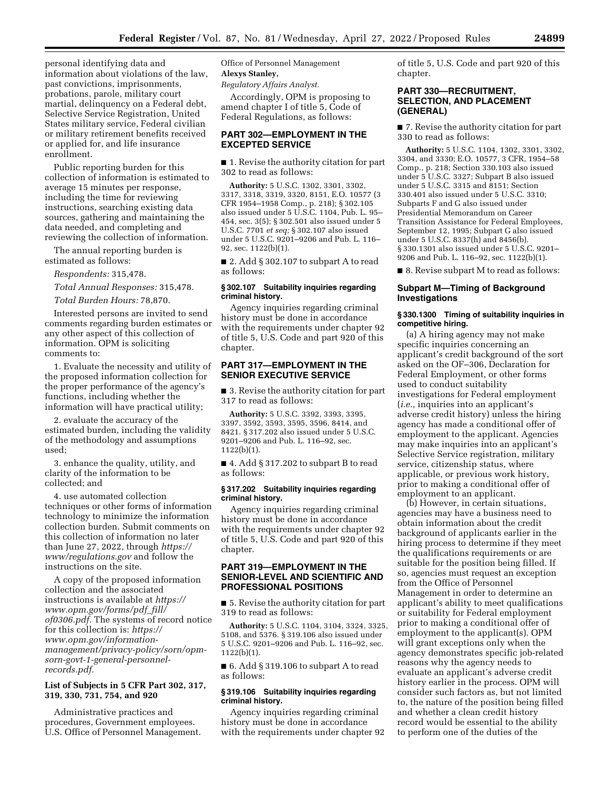personal identifying data and information about violations of the law, past convictions, imprisonments, probations, parole, military court martial, delinquency on a Federal debt, Selective Service Registration, United States military service, Federal civilian or military retirement benefits received or applied for, and life insurance enrollment.

Public reporting burden for this collection of information is estimated to average 15 minutes per response, including the time for reviewing instructions, searching existing data sources, gathering and maintaining the data needed, and completing and reviewing the collection of information.

The annual reporting burden is estimated as follows:

*Respondents:* 315,478.

*Total Annual Responses:* 315,478.

*Total Burden Hours:* 78,870.

Interested persons are invited to send comments regarding burden estimates or any other aspect of this collection of information. OPM is soliciting comments to:

1. Evaluate the necessity and utility of the proposed information collection for the proper performance of the agency's functions, including whether the information will have practical utility;

2. evaluate the accuracy of the estimated burden, including the validity of the methodology and assumptions used;

3. enhance the quality, utility, and clarity of the information to be collected; and

4. use automated collection techniques or other forms of information technology to minimize the information collection burden. Submit comments on this collection of information no later than June 27, 2022, through *[https://](https://www.regulations.gov) [www/regulations.gov](https://www.regulations.gov)* and follow the instructions on the site.

A copy of the proposed information collection and the associated instructions is available at *[https://](https://www.opm.gov/forms/pdf_fill/of0306.pdf) [www.opm.gov/forms/pdf](https://www.opm.gov/forms/pdf_fill/of0306.pdf)*\_*fill/ [of0306.pdf.](https://www.opm.gov/forms/pdf_fill/of0306.pdf)* The systems of record notice for this collection is: *[https://](https://www.opm.gov/information-management/privacy-policy/sorn/opm-sorn-govt-1-general-personnel-records.pdf) www.opm.gov/information[management/privacy-policy/sorn/opm](https://www.opm.gov/information-management/privacy-policy/sorn/opm-sorn-govt-1-general-personnel-records.pdf)sorn-govt-1-general-personnelrecords.pdf.* 

# **List of Subjects in 5 CFR Part 302, 317, 319, 330, 731, 754, and 920**

Administrative practices and procedures, Government employees. U.S. Office of Personnel Management. Office of Personnel Management **Alexys Stanley,** 

*Regulatory Affairs Analyst.* 

Accordingly, OPM is proposing to amend chapter I of title 5, Code of Federal Regulations, as follows:

# **PART 302—EMPLOYMENT IN THE EXCEPTED SERVICE**

■ 1. Revise the authority citation for part 302 to read as follows:

**Authority:** 5 U.S.C. 1302, 3301, 3302, 3317, 3318, 3319, 3320, 8151, E.O. 10577 (3 CFR 1954–1958 Comp., p. 218); § 302.105 also issued under 5 U.S.C. 1104, Pub. L. 95– 454, sec. 3(5); § 302.501 also issued under 5 U.S.C. 7701 *et seq;* § 302.107 also issued under 5 U.S.C. 9201–9206 and Pub. L. 116– 92, sec. 1122(b)(1).

■ 2. Add § 302.107 to subpart A to read as follows:

## **§ 302.107 Suitability inquiries regarding criminal history.**

Agency inquiries regarding criminal history must be done in accordance with the requirements under chapter 92 of title 5, U.S. Code and part 920 of this chapter.

# **PART 317—EMPLOYMENT IN THE SENIOR EXECUTIVE SERVICE**

■ 3. Revise the authority citation for part 317 to read as follows:

**Authority:** 5 U.S.C. 3392, 3393, 3395, 3397, 3592, 3593, 3595, 3596, 8414, and 8421. § 317.202 also issued under 5 U.S.C. 9201–9206 and Pub. L. 116–92, sec. 1122(b)(1).

■ 4. Add § 317.202 to subpart B to read as follows:

## **§ 317.202 Suitability inquiries regarding criminal history.**

Agency inquiries regarding criminal history must be done in accordance with the requirements under chapter 92 of title 5, U.S. Code and part 920 of this chapter.

# **PART 319—EMPLOYMENT IN THE SENIOR-LEVEL AND SCIENTIFIC AND PROFESSIONAL POSITIONS**

■ 5. Revise the authority citation for part 319 to read as follows:

**Authority:** 5 U.S.C. 1104, 3104, 3324, 3325, 5108, and 5376. § 319.106 also issued under 5 U.S.C. 9201–9206 and Pub. L. 116–92, sec. 1122(b)(1).

■ 6. Add § 319.106 to subpart A to read as follows:

# **§ 319.106 Suitability inquiries regarding criminal history.**

Agency inquiries regarding criminal history must be done in accordance with the requirements under chapter 92 of title 5, U.S. Code and part 920 of this chapter.

# **PART 330—RECRUITMENT, SELECTION, AND PLACEMENT (GENERAL)**

■ 7. Revise the authority citation for part 330 to read as follows:

**Authority:** 5 U.S.C. 1104, 1302, 3301, 3302, 3304, and 3330; E.O. 10577, 3 CFR, 1954–58 Comp., p. 218; Section 330.103 also issued under 5 U.S.C. 3327; Subpart B also issued under 5 U.S.C. 3315 and 8151; Section 330.401 also issued under 5 U.S.C. 3310; Subparts F and G also issued under Presidential Memorandum on Career Transition Assistance for Federal Employees, September 12, 1995; Subpart G also issued under 5 U.S.C. 8337(h) and 8456(b). § 330.1301 also issued under 5 U.S.C. 9201– 9206 and Pub. L. 116–92, sec. 1122(b)(1).

■ 8. Revise subpart M to read as follows:

# **Subpart M—Timing of Background Investigations**

## **§ 330.1300 Timing of suitability inquiries in competitive hiring.**

(a) A hiring agency may not make specific inquiries concerning an applicant's credit background of the sort asked on the OF–306, Declaration for Federal Employment, or other forms used to conduct suitability investigations for Federal employment (*i.e.,* inquiries into an applicant's adverse credit history) unless the hiring agency has made a conditional offer of employment to the applicant. Agencies may make inquiries into an applicant's Selective Service registration, military service, citizenship status, where applicable, or previous work history, prior to making a conditional offer of employment to an applicant.

(b) However, in certain situations, agencies may have a business need to obtain information about the credit background of applicants earlier in the hiring process to determine if they meet the qualifications requirements or are suitable for the position being filled. If so, agencies must request an exception from the Office of Personnel Management in order to determine an applicant's ability to meet qualifications or suitability for Federal employment prior to making a conditional offer of employment to the applicant(s). OPM will grant exceptions only when the agency demonstrates specific job-related reasons why the agency needs to evaluate an applicant's adverse credit history earlier in the process. OPM will consider such factors as, but not limited to, the nature of the position being filled and whether a clean credit history record would be essential to the ability to perform one of the duties of the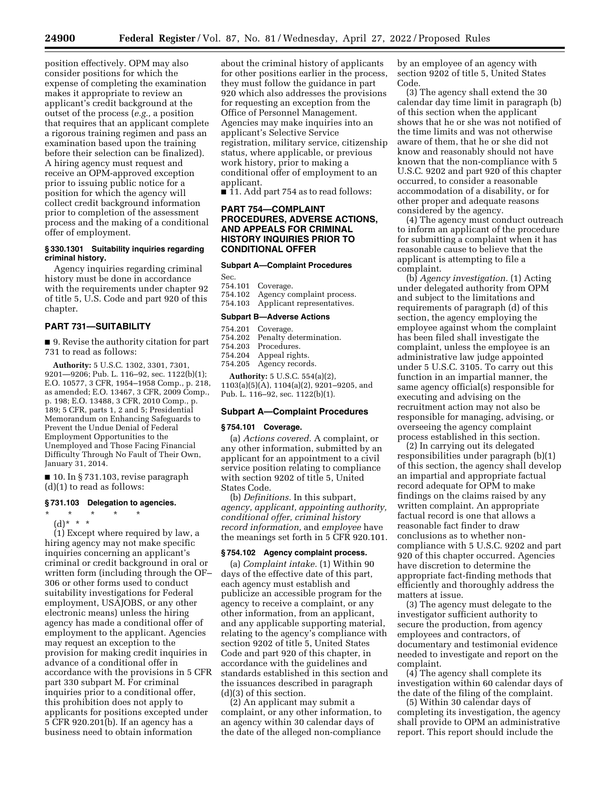position effectively. OPM may also consider positions for which the expense of completing the examination makes it appropriate to review an applicant's credit background at the outset of the process (*e.g.,* a position that requires that an applicant complete a rigorous training regimen and pass an examination based upon the training before their selection can be finalized). A hiring agency must request and receive an OPM-approved exception prior to issuing public notice for a position for which the agency will collect credit background information prior to completion of the assessment process and the making of a conditional

#### **§ 330.1301 Suitability inquiries regarding criminal history.**

Agency inquiries regarding criminal history must be done in accordance with the requirements under chapter 92 of title 5, U.S. Code and part 920 of this chapter.

# **PART 731—SUITABILITY**

offer of employment.

■ 9. Revise the authority citation for part 731 to read as follows:

**Authority:** 5 U.S.C. 1302, 3301, 7301, 9201—9206; Pub. L. 116–92, sec. 1122(b)(1); E.O. 10577, 3 CFR, 1954–1958 Comp., p. 218, as amended; E.O. 13467, 3 CFR, 2009 Comp., p. 198; E.O. 13488, 3 CFR, 2010 Comp., p. 189; 5 CFR, parts 1, 2 and 5; Presidential Memorandum on Enhancing Safeguards to Prevent the Undue Denial of Federal Employment Opportunities to the Unemployed and Those Facing Financial Difficulty Through No Fault of Their Own, January 31, 2014.

■ 10. In § 731.103, revise paragraph (d)(1) to read as follows:

## **§ 731.103 Delegation to agencies.**

\* \* \* \* \*

(d)\* \* \*

(1) Except where required by law, a hiring agency may not make specific inquiries concerning an applicant's criminal or credit background in oral or written form (including through the OF– 306 or other forms used to conduct suitability investigations for Federal employment, USAJOBS, or any other electronic means) unless the hiring agency has made a conditional offer of employment to the applicant. Agencies may request an exception to the provision for making credit inquiries in advance of a conditional offer in accordance with the provisions in 5 CFR part 330 subpart M. For criminal inquiries prior to a conditional offer, this prohibition does not apply to applicants for positions excepted under 5 CFR 920.201(b). If an agency has a business need to obtain information

about the criminal history of applicants for other positions earlier in the process, they must follow the guidance in part 920 which also addresses the provisions for requesting an exception from the Office of Personnel Management. Agencies may make inquiries into an applicant's Selective Service registration, military service, citizenship status, where applicable, or previous work history, prior to making a conditional offer of employment to an applicant.

■ 11. Add part 754 as to read follows:

# **PART 754—COMPLAINT PROCEDURES, ADVERSE ACTIONS, AND APPEALS FOR CRIMINAL HISTORY INQUIRIES PRIOR TO CONDITIONAL OFFER**

#### **Subpart A—Complaint Procedures**

| Sec. |                                    |
|------|------------------------------------|
|      | 754.101 Coverage.                  |
|      | 754.102 Agency complaint process.  |
|      | 754.103 Applicant representatives. |

## **Subpart B—Adverse Actions**

- 754.201 Coverage.
- 754.202 Penalty determination.
- 754.203 Procedures.
- 754.204 Appeal rights.
- 754.205 Agency records.

**Authority:** 5 U.S.C. 554(a)(2), 1103(a)(5)(A), 1104(a)(2), 9201–9205, and Pub. L. 116–92, sec. 1122(b)(1).

## **Subpart A—Complaint Procedures**

## **§ 754.101 Coverage.**

(a) *Actions covered.* A complaint, or any other information, submitted by an applicant for an appointment to a civil service position relating to compliance with section 9202 of title 5, United States Code.

(b) *Definitions.* In this subpart, *agency, applicant, appointing authority, conditional offer, criminal history record information,* and *employee* have the meanings set forth in 5 CFR 920.101.

## **§ 754.102 Agency complaint process.**

(a) *Complaint intake.* (1) Within 90 days of the effective date of this part, each agency must establish and publicize an accessible program for the agency to receive a complaint, or any other information, from an applicant, and any applicable supporting material, relating to the agency's compliance with section 9202 of title 5, United States Code and part 920 of this chapter, in accordance with the guidelines and standards established in this section and the issuances described in paragraph (d)(3) of this section.

(2) An applicant may submit a complaint, or any other information, to an agency within 30 calendar days of the date of the alleged non-compliance

by an employee of an agency with section 9202 of title 5, United States Code.

(3) The agency shall extend the 30 calendar day time limit in paragraph (b) of this section when the applicant shows that he or she was not notified of the time limits and was not otherwise aware of them, that he or she did not know and reasonably should not have known that the non-compliance with 5 U.S.C. 9202 and part 920 of this chapter occurred, to consider a reasonable accommodation of a disability, or for other proper and adequate reasons considered by the agency.

(4) The agency must conduct outreach to inform an applicant of the procedure for submitting a complaint when it has reasonable cause to believe that the applicant is attempting to file a complaint.

(b) *Agency investigation.* (1) Acting under delegated authority from OPM and subject to the limitations and requirements of paragraph (d) of this section, the agency employing the employee against whom the complaint has been filed shall investigate the complaint, unless the employee is an administrative law judge appointed under 5 U.S.C. 3105. To carry out this function in an impartial manner, the same agency official(s) responsible for executing and advising on the recruitment action may not also be responsible for managing, advising, or overseeing the agency complaint process established in this section.

(2) In carrying out its delegated responsibilities under paragraph (b)(1) of this section, the agency shall develop an impartial and appropriate factual record adequate for OPM to make findings on the claims raised by any written complaint. An appropriate factual record is one that allows a reasonable fact finder to draw conclusions as to whether noncompliance with 5 U.S.C. 9202 and part 920 of this chapter occurred. Agencies have discretion to determine the appropriate fact-finding methods that efficiently and thoroughly address the matters at issue.

(3) The agency must delegate to the investigator sufficient authority to secure the production, from agency employees and contractors, of documentary and testimonial evidence needed to investigate and report on the complaint.

(4) The agency shall complete its investigation within 60 calendar days of the date of the filing of the complaint.

(5) Within 30 calendar days of completing its investigation, the agency shall provide to OPM an administrative report. This report should include the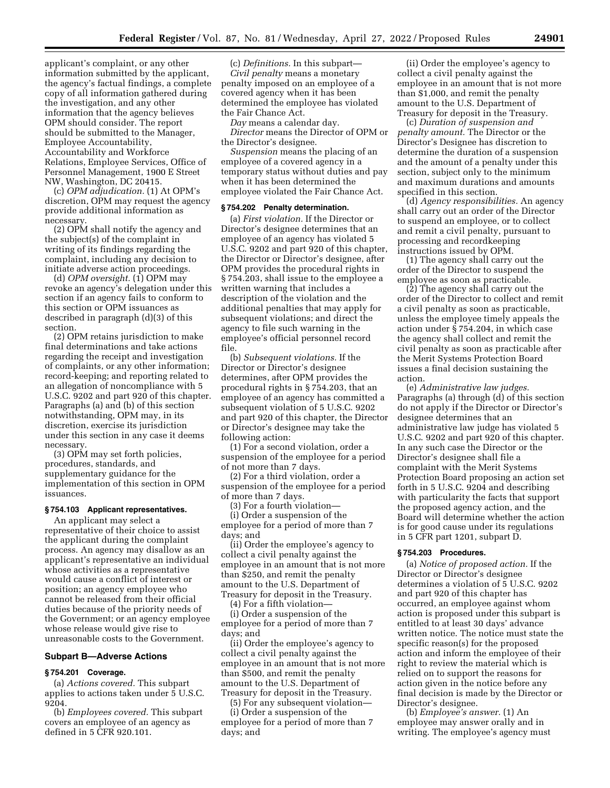applicant's complaint, or any other information submitted by the applicant, the agency's factual findings, a complete copy of all information gathered during the investigation, and any other information that the agency believes OPM should consider. The report should be submitted to the Manager, Employee Accountability, Accountability and Workforce Relations, Employee Services, Office of Personnel Management, 1900 E Street NW, Washington, DC 20415.

(c) *OPM adjudication.* (1) At OPM's discretion, OPM may request the agency provide additional information as necessary.

(2) OPM shall notify the agency and the subject(s) of the complaint in writing of its findings regarding the complaint, including any decision to initiate adverse action proceedings.

(d) *OPM oversight.* (1) OPM may revoke an agency's delegation under this section if an agency fails to conform to this section or OPM issuances as described in paragraph (d)(3) of this section.

(2) OPM retains jurisdiction to make final determinations and take actions regarding the receipt and investigation of complaints, or any other information; record-keeping; and reporting related to an allegation of noncompliance with 5 U.S.C. 9202 and part 920 of this chapter. Paragraphs (a) and (b) of this section notwithstanding, OPM may, in its discretion, exercise its jurisdiction under this section in any case it deems necessary.

(3) OPM may set forth policies, procedures, standards, and supplementary guidance for the implementation of this section in OPM issuances.

# **§ 754.103 Applicant representatives.**

An applicant may select a representative of their choice to assist the applicant during the complaint process. An agency may disallow as an applicant's representative an individual whose activities as a representative would cause a conflict of interest or position; an agency employee who cannot be released from their official duties because of the priority needs of the Government; or an agency employee whose release would give rise to unreasonable costs to the Government.

#### **Subpart B—Adverse Actions**

## **§ 754.201 Coverage.**

(a) *Actions covered.* This subpart applies to actions taken under 5 U.S.C. 9204.

(b) *Employees covered.* This subpart covers an employee of an agency as defined in 5 CFR 920.101.

(c) *Definitions.* In this subpart— *Civil penalty* means a monetary penalty imposed on an employee of a covered agency when it has been determined the employee has violated the Fair Chance Act.

*Day* means a calendar day.

*Director* means the Director of OPM or the Director's designee.

*Suspension* means the placing of an employee of a covered agency in a temporary status without duties and pay when it has been determined the employee violated the Fair Chance Act.

# **§ 754.202 Penalty determination.**

(a) *First violation.* If the Director or Director's designee determines that an employee of an agency has violated 5 U.S.C. 9202 and part 920 of this chapter, the Director or Director's designee, after OPM provides the procedural rights in § 754.203, shall issue to the employee a written warning that includes a description of the violation and the additional penalties that may apply for subsequent violations; and direct the agency to file such warning in the employee's official personnel record file.

(b) *Subsequent violations.* If the Director or Director's designee determines, after OPM provides the procedural rights in § 754.203, that an employee of an agency has committed a subsequent violation of 5 U.S.C. 9202 and part 920 of this chapter, the Director or Director's designee may take the following action:

(1) For a second violation, order a suspension of the employee for a period of not more than 7 days.

(2) For a third violation, order a suspension of the employee for a period of more than 7 days.

(3) For a fourth violation—

(i) Order a suspension of the employee for a period of more than 7 days; and

(ii) Order the employee's agency to collect a civil penalty against the employee in an amount that is not more than \$250, and remit the penalty amount to the U.S. Department of Treasury for deposit in the Treasury.

(4) For a fifth violation—

(i) Order a suspension of the employee for a period of more than 7 days; and

(ii) Order the employee's agency to collect a civil penalty against the employee in an amount that is not more than \$500, and remit the penalty amount to the U.S. Department of Treasury for deposit in the Treasury.

(5) For any subsequent violation— (i) Order a suspension of the employee for a period of more than 7 days; and

(ii) Order the employee's agency to collect a civil penalty against the employee in an amount that is not more than \$1,000, and remit the penalty amount to the U.S. Department of Treasury for deposit in the Treasury.

(c) *Duration of suspension and penalty amount.* The Director or the Director's Designee has discretion to determine the duration of a suspension and the amount of a penalty under this section, subject only to the minimum and maximum durations and amounts specified in this section.

(d) *Agency responsibilities.* An agency shall carry out an order of the Director to suspend an employee, or to collect and remit a civil penalty, pursuant to processing and recordkeeping instructions issued by OPM.

(1) The agency shall carry out the order of the Director to suspend the employee as soon as practicable.

(2) The agency shall carry out the order of the Director to collect and remit a civil penalty as soon as practicable, unless the employee timely appeals the action under  $\S$  754.204, in which case the agency shall collect and remit the civil penalty as soon as practicable after the Merit Systems Protection Board issues a final decision sustaining the action.

(e) *Administrative law judges.*  Paragraphs (a) through (d) of this section do not apply if the Director or Director's designee determines that an administrative law judge has violated 5 U.S.C. 9202 and part 920 of this chapter. In any such case the Director or the Director's designee shall file a complaint with the Merit Systems Protection Board proposing an action set forth in 5 U.S.C. 9204 and describing with particularity the facts that support the proposed agency action, and the Board will determine whether the action is for good cause under its regulations in 5 CFR part 1201, subpart D.

## **§ 754.203 Procedures.**

(a) *Notice of proposed action.* If the Director or Director's designee determines a violation of 5 U.S.C. 9202 and part 920 of this chapter has occurred, an employee against whom action is proposed under this subpart is entitled to at least 30 days' advance written notice. The notice must state the specific reason(s) for the proposed action and inform the employee of their right to review the material which is relied on to support the reasons for action given in the notice before any final decision is made by the Director or Director's designee.

(b) *Employee's answer.* (1) An employee may answer orally and in writing. The employee's agency must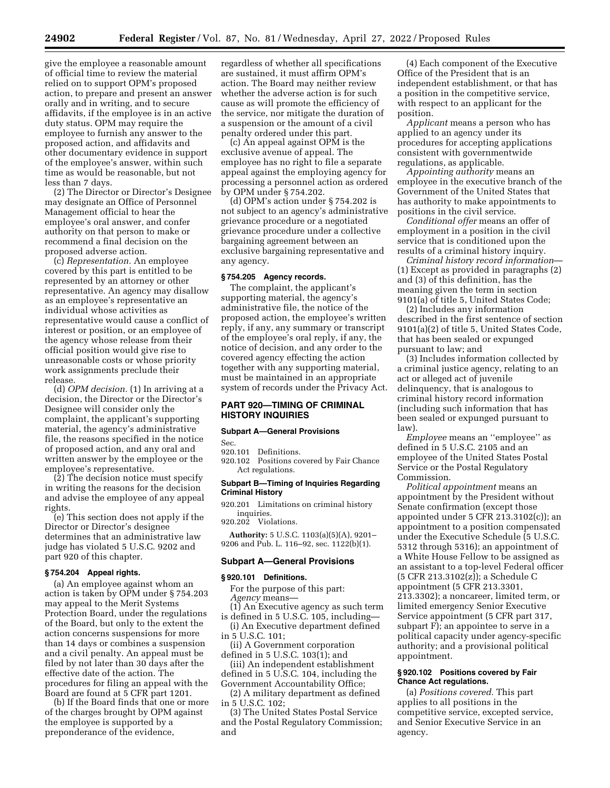give the employee a reasonable amount of official time to review the material relied on to support OPM's proposed action, to prepare and present an answer orally and in writing, and to secure affidavits, if the employee is in an active duty status. OPM may require the employee to furnish any answer to the proposed action, and affidavits and other documentary evidence in support of the employee's answer, within such time as would be reasonable, but not less than 7 days.

(2) The Director or Director's Designee may designate an Office of Personnel Management official to hear the employee's oral answer, and confer authority on that person to make or recommend a final decision on the proposed adverse action.

(c) *Representation.* An employee covered by this part is entitled to be represented by an attorney or other representative. An agency may disallow as an employee's representative an individual whose activities as representative would cause a conflict of interest or position, or an employee of the agency whose release from their official position would give rise to unreasonable costs or whose priority work assignments preclude their release.

(d) *OPM decision.* (1) In arriving at a decision, the Director or the Director's Designee will consider only the complaint, the applicant's supporting material, the agency's administrative file, the reasons specified in the notice of proposed action, and any oral and written answer by the employee or the employee's representative.

(2) The decision notice must specify in writing the reasons for the decision and advise the employee of any appeal rights.

(e) This section does not apply if the Director or Director's designee determines that an administrative law judge has violated 5 U.S.C. 9202 and part 920 of this chapter.

# **§ 754.204 Appeal rights.**

(a) An employee against whom an action is taken by OPM under § 754.203 may appeal to the Merit Systems Protection Board, under the regulations of the Board, but only to the extent the action concerns suspensions for more than 14 days or combines a suspension and a civil penalty. An appeal must be filed by not later than 30 days after the effective date of the action. The procedures for filing an appeal with the Board are found at 5 CFR part 1201.

(b) If the Board finds that one or more of the charges brought by OPM against the employee is supported by a preponderance of the evidence,

regardless of whether all specifications are sustained, it must affirm OPM's action. The Board may neither review whether the adverse action is for such cause as will promote the efficiency of the service, nor mitigate the duration of a suspension or the amount of a civil penalty ordered under this part.

(c) An appeal against OPM is the exclusive avenue of appeal. The employee has no right to file a separate appeal against the employing agency for processing a personnel action as ordered by OPM under § 754.202.

(d) OPM's action under § 754.202 is not subject to an agency's administrative grievance procedure or a negotiated grievance procedure under a collective bargaining agreement between an exclusive bargaining representative and any agency.

## **§ 754.205 Agency records.**

The complaint, the applicant's supporting material, the agency's administrative file, the notice of the proposed action, the employee's written reply, if any, any summary or transcript of the employee's oral reply, if any, the notice of decision, and any order to the covered agency effecting the action together with any supporting material, must be maintained in an appropriate system of records under the Privacy Act.

# **PART 920—TIMING OF CRIMINAL HISTORY INQUIRIES**

# **Subpart A—General Provisions**

Sec.

920.101 Definitions.

920.102 Positions covered by Fair Chance Act regulations.

## **Subpart B—Timing of Inquiries Regarding Criminal History**

920.201 Limitations on criminal history inquiries.

920.202 Violations. **Authority:** 5 U.S.C. 1103(a)(5)(A), 9201– 9206 and Pub. L. 116–92, sec. 1122(b)(1).

# **Subpart A—General Provisions**

#### **§ 920.101 Definitions.**

For the purpose of this part: *Agency* means—

- (1) An Executive agency as such term is defined in 5 U.S.C. 105, including—
- (i) An Executive department defined in 5 U.S.C. 101;
- (ii) A Government corporation
- defined in 5 U.S.C. 103(1); and (iii) An independent establishment
- defined in 5 U.S.C. 104, including the

Government Accountability Office; (2) A military department as defined in 5 U.S.C. 102;

(3) The United States Postal Service and the Postal Regulatory Commission; and

(4) Each component of the Executive Office of the President that is an independent establishment, or that has a position in the competitive service, with respect to an applicant for the position.

*Applicant* means a person who has applied to an agency under its procedures for accepting applications consistent with governmentwide regulations, as applicable.

*Appointing authority* means an employee in the executive branch of the Government of the United States that has authority to make appointments to positions in the civil service.

*Conditional offer* means an offer of employment in a position in the civil service that is conditioned upon the results of a criminal history inquiry.

*Criminal history record information*— (1) Except as provided in paragraphs (2) and (3) of this definition, has the meaning given the term in section 9101(a) of title 5, United States Code;

(2) Includes any information described in the first sentence of section 9101(a)(2) of title 5, United States Code, that has been sealed or expunged pursuant to law; and

(3) Includes information collected by a criminal justice agency, relating to an act or alleged act of juvenile delinquency, that is analogous to criminal history record information (including such information that has been sealed or expunged pursuant to law).

*Employee* means an ''employee'' as defined in 5 U.S.C. 2105 and an employee of the United States Postal Service or the Postal Regulatory Commission.

*Political appointment* means an appointment by the President without Senate confirmation (except those appointed under 5 CFR 213.3102(c)); an appointment to a position compensated under the Executive Schedule (5 U.S.C. 5312 through 5316); an appointment of a White House Fellow to be assigned as an assistant to a top-level Federal officer (5 CFR 213.3102(z)); a Schedule C appointment (5 CFR 213.3301, 213.3302); a noncareer, limited term, or limited emergency Senior Executive Service appointment (5 CFR part 317, subpart F); an appointee to serve in a political capacity under agency-specific authority; and a provisional political appointment.

## **§ 920.102 Positions covered by Fair Chance Act regulations.**

(a) *Positions covered.* This part applies to all positions in the competitive service, excepted service, and Senior Executive Service in an agency.